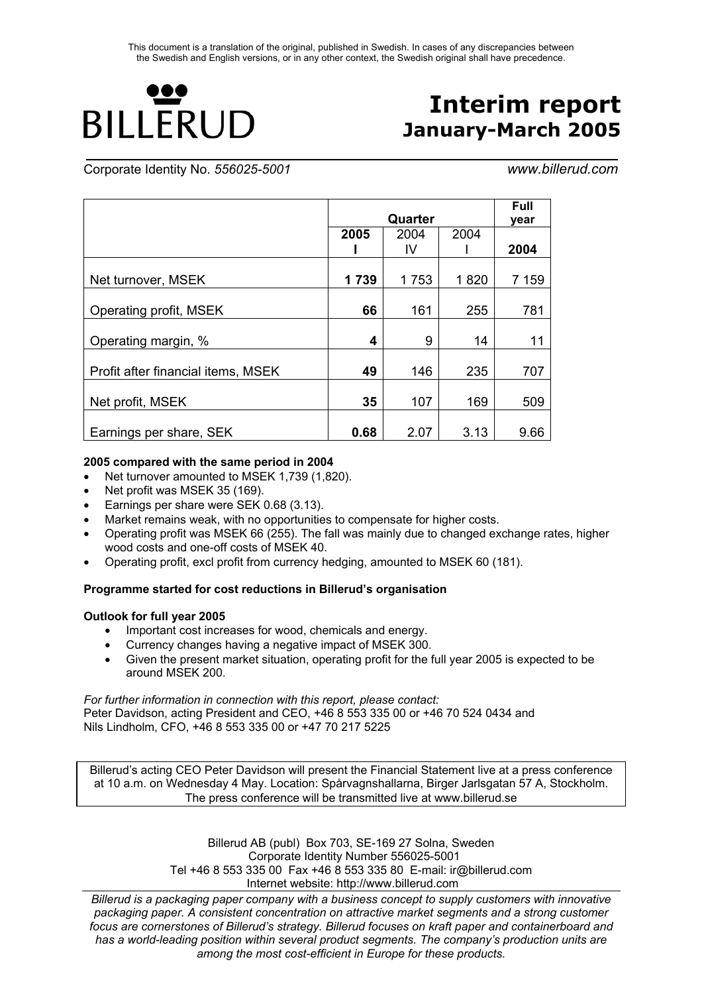**\_\_\_\_\_\_\_\_\_\_\_\_\_\_\_\_\_\_\_\_\_\_\_\_\_\_\_\_\_\_\_\_\_\_\_\_\_\_\_\_\_\_\_\_\_\_\_\_\_\_\_\_\_\_\_\_\_\_\_\_\_\_\_\_\_\_\_\_\_\_\_\_\_\_\_\_\_\_\_\_\_**

# 100 **BILLERUD**

# **Interim report January-March 2005**

Corporate Identity No. *556025-5001 www.billerud.com* 

|                                    |      |                 | <b>Full</b> |       |
|------------------------------------|------|-----------------|-------------|-------|
|                                    | 2005 | Quarter<br>2004 | 2004        | vear  |
|                                    |      | IV              |             | 2004  |
| Net turnover, MSEK                 | 1739 | 1753            | 1820        | 7 159 |
| Operating profit, MSEK             | 66   | 161             | 255         | 781   |
| Operating margin, %                | 4    | 9               | 14          | 11    |
| Profit after financial items, MSEK | 49   | 146             | 235         | 707   |
| Net profit, MSEK                   | 35   | 107             | 169         | 509   |
| Earnings per share, SEK            | 0.68 | 2.07            | 3.13        | 9.66  |

#### **2005 compared with the same period in 2004**

- Net turnover amounted to MSEK 1,739 (1,820).
- Net profit was MSEK 35 (169).
- Earnings per share were SEK 0.68 (3.13).
- Market remains weak, with no opportunities to compensate for higher costs.
- Operating profit was MSEK 66 (255). The fall was mainly due to changed exchange rates, higher wood costs and one-off costs of MSEK 40.
- Operating profit, excl profit from currency hedging, amounted to MSEK 60 (181).

#### **Programme started for cost reductions in Billerud's organisation**

#### **Outlook for full year 2005**

- Important cost increases for wood, chemicals and energy.
- Currency changes having a negative impact of MSEK 300.
- Given the present market situation, operating profit for the full year 2005 is expected to be around MSEK 200.

*For further information in connection with this report, please contact:*  Peter Davidson, acting President and CEO, +46 8 553 335 00 or +46 70 524 0434 and Nils Lindholm, CFO, +46 8 553 335 00 or +47 70 217 5225

Billerud's acting CEO Peter Davidson will present the Financial Statement live at a press conference at 10 a.m. on Wednesday 4 May. Location: Spårvagnshallarna, Birger Jarlsgatan 57 A, Stockholm. The press conference will be transmitted live at www.billerud.se

> Billerud AB (publ) Box 703, SE-169 27 Solna, Sweden Corporate Identity Number 556025-5001 Tel +46 8 553 335 00 Fax +46 8 553 335 80 E-mail: ir@billerud.com Internet website: http://www.billerud.com

*Billerud is a packaging paper company with a business concept to supply customers with innovative packaging paper. A consistent concentration on attractive market segments and a strong customer focus are cornerstones of Billerud's strategy. Billerud focuses on kraft paper and containerboard and has a world-leading position within several product segments. The company's production units are among the most cost-efficient in Europe for these products.*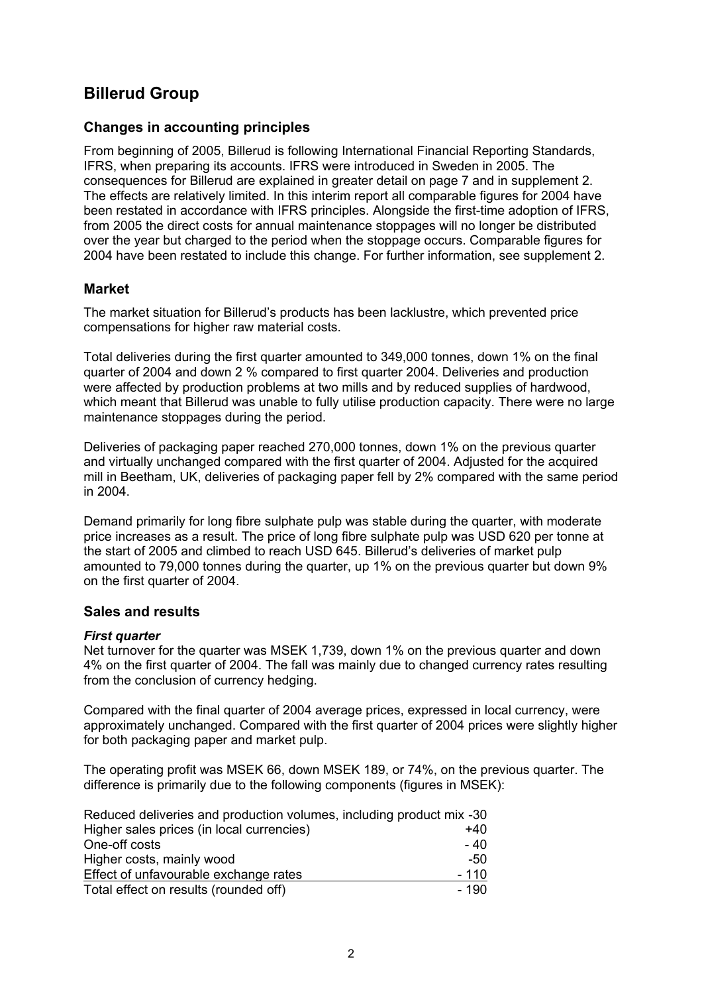# **Billerud Group**

### **Changes in accounting principles**

From beginning of 2005, Billerud is following International Financial Reporting Standards, IFRS, when preparing its accounts. IFRS were introduced in Sweden in 2005. The consequences for Billerud are explained in greater detail on page 7 and in supplement 2. The effects are relatively limited. In this interim report all comparable figures for 2004 have been restated in accordance with IFRS principles. Alongside the first-time adoption of IFRS, from 2005 the direct costs for annual maintenance stoppages will no longer be distributed over the year but charged to the period when the stoppage occurs. Comparable figures for 2004 have been restated to include this change. For further information, see supplement 2.

### **Market**

The market situation for Billerud's products has been lacklustre, which prevented price compensations for higher raw material costs.

Total deliveries during the first quarter amounted to 349,000 tonnes, down 1% on the final quarter of 2004 and down 2 % compared to first quarter 2004. Deliveries and production were affected by production problems at two mills and by reduced supplies of hardwood, which meant that Billerud was unable to fully utilise production capacity. There were no large maintenance stoppages during the period.

Deliveries of packaging paper reached 270,000 tonnes, down 1% on the previous quarter and virtually unchanged compared with the first quarter of 2004. Adjusted for the acquired mill in Beetham, UK, deliveries of packaging paper fell by 2% compared with the same period in 2004.

Demand primarily for long fibre sulphate pulp was stable during the quarter, with moderate price increases as a result. The price of long fibre sulphate pulp was USD 620 per tonne at the start of 2005 and climbed to reach USD 645. Billerud's deliveries of market pulp amounted to 79,000 tonnes during the quarter, up 1% on the previous quarter but down 9% on the first quarter of 2004.

### **Sales and results**

#### *First quarter*

Net turnover for the quarter was MSEK 1,739, down 1% on the previous quarter and down 4% on the first quarter of 2004. The fall was mainly due to changed currency rates resulting from the conclusion of currency hedging.

Compared with the final quarter of 2004 average prices, expressed in local currency, were approximately unchanged. Compared with the first quarter of 2004 prices were slightly higher for both packaging paper and market pulp.

The operating profit was MSEK 66, down MSEK 189, or 74%, on the previous quarter. The difference is primarily due to the following components (figures in MSEK):

| Reduced deliveries and production volumes, including product mix -30 |        |
|----------------------------------------------------------------------|--------|
| Higher sales prices (in local currencies)                            | $+40$  |
| One-off costs                                                        | - 40   |
| Higher costs, mainly wood                                            | -50    |
| Effect of unfavourable exchange rates                                | $-110$ |
| Total effect on results (rounded off)                                | - 190  |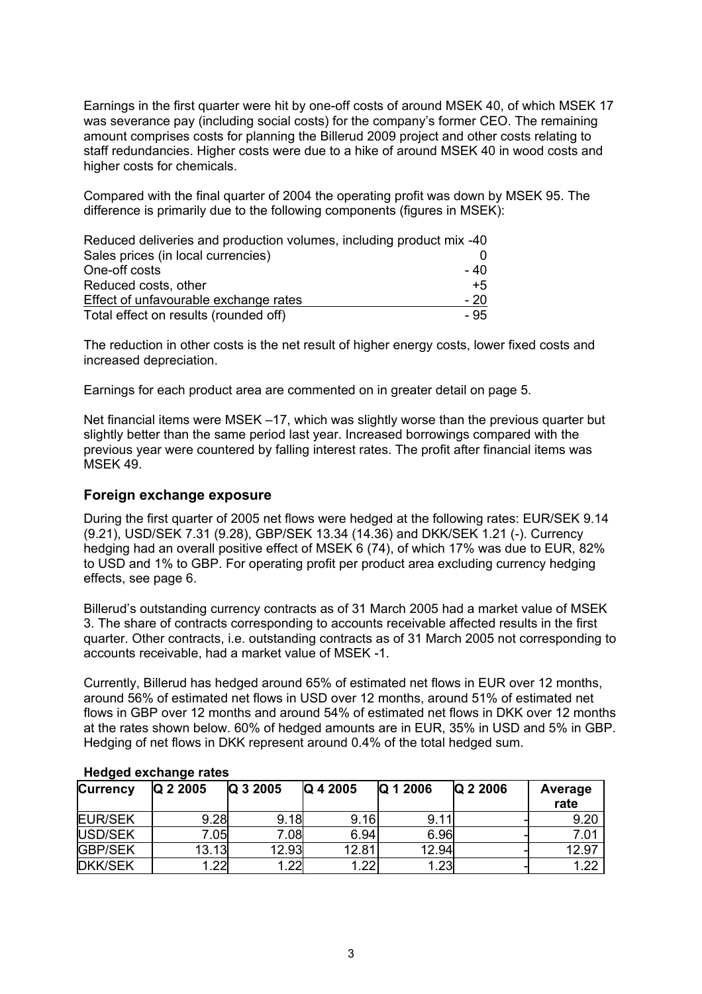Earnings in the first quarter were hit by one-off costs of around MSEK 40, of which MSEK 17 was severance pay (including social costs) for the company's former CEO. The remaining amount comprises costs for planning the Billerud 2009 project and other costs relating to staff redundancies. Higher costs were due to a hike of around MSEK 40 in wood costs and higher costs for chemicals.

Compared with the final quarter of 2004 the operating profit was down by MSEK 95. The difference is primarily due to the following components (figures in MSEK):

| Reduced deliveries and production volumes, including product mix -40 |       |
|----------------------------------------------------------------------|-------|
| Sales prices (in local currencies)                                   |       |
| One-off costs                                                        | - 40  |
| Reduced costs, other                                                 | $+5$  |
| Effect of unfavourable exchange rates                                | $-20$ |
| Total effect on results (rounded off)                                | - 95  |

The reduction in other costs is the net result of higher energy costs, lower fixed costs and increased depreciation.

Earnings for each product area are commented on in greater detail on page 5.

Net financial items were MSEK –17, which was slightly worse than the previous quarter but slightly better than the same period last year. Increased borrowings compared with the previous year were countered by falling interest rates. The profit after financial items was MSEK 49.

#### **Foreign exchange exposure**

During the first quarter of 2005 net flows were hedged at the following rates: EUR/SEK 9.14 (9.21), USD/SEK 7.31 (9.28), GBP/SEK 13.34 (14.36) and DKK/SEK 1.21 (-). Currency hedging had an overall positive effect of MSEK 6 (74), of which 17% was due to EUR, 82% to USD and 1% to GBP. For operating profit per product area excluding currency hedging effects, see page 6.

Billerud's outstanding currency contracts as of 31 March 2005 had a market value of MSEK 3. The share of contracts corresponding to accounts receivable affected results in the first quarter. Other contracts, i.e. outstanding contracts as of 31 March 2005 not corresponding to accounts receivable, had a market value of MSEK -1.

Currently, Billerud has hedged around 65% of estimated net flows in EUR over 12 months, around 56% of estimated net flows in USD over 12 months, around 51% of estimated net flows in GBP over 12 months and around 54% of estimated net flows in DKK over 12 months at the rates shown below. 60% of hedged amounts are in EUR, 35% in USD and 5% in GBP. Hedging of net flows in DKK represent around 0.4% of the total hedged sum.

| <b>Currency</b> | Q 2 2005 | Q 3 2005 | Q 4 2005 | Q 1 2006 | Q 2 2006 | Average<br>rate |
|-----------------|----------|----------|----------|----------|----------|-----------------|
| <b>EUR/SEK</b>  | 9.28     | 9.18     | 9.16     | 9.11     |          | 9.20            |
| USD/SEK         | 7.05     | 7.08     | 6.94     | 6.96     |          | 7.01            |
| <b>GBP/SEK</b>  | 13.13    | 12.93    | 12.81    | 12.94    |          | 12.97           |
| <b>DKK/SEK</b>  | 1.22     | .22      | .22      | 1.23     |          | . 22            |

#### **Hedged exchange rates**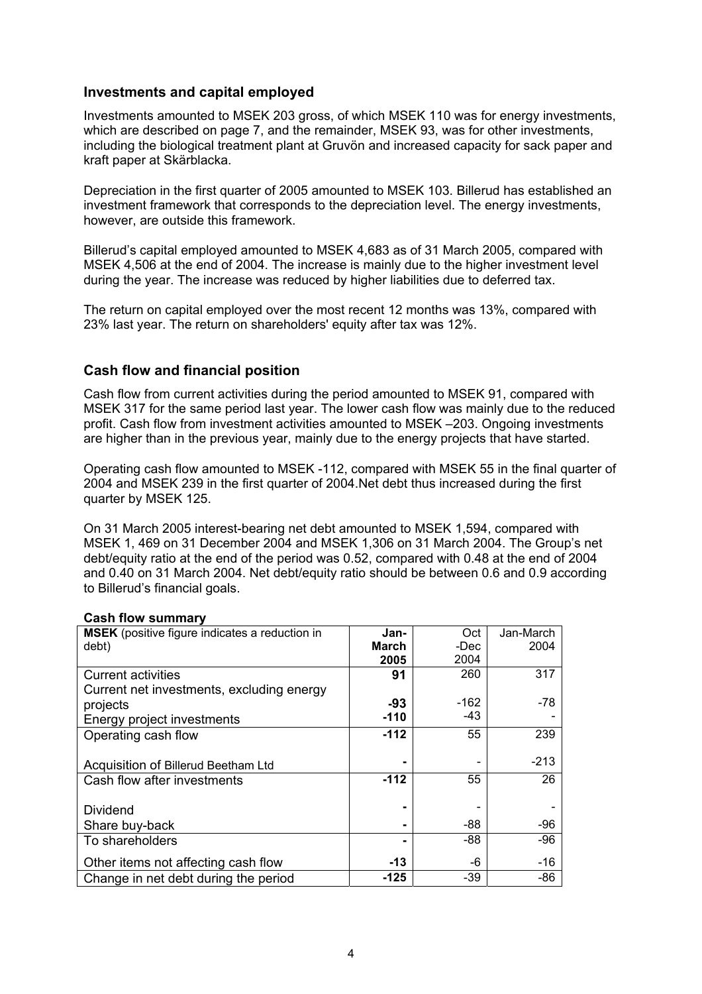#### **Investments and capital employed**

Investments amounted to MSEK 203 gross, of which MSEK 110 was for energy investments, which are described on page 7, and the remainder, MSEK 93, was for other investments, including the biological treatment plant at Gruvön and increased capacity for sack paper and kraft paper at Skärblacka.

Depreciation in the first quarter of 2005 amounted to MSEK 103. Billerud has established an investment framework that corresponds to the depreciation level. The energy investments, however, are outside this framework.

Billerud's capital employed amounted to MSEK 4,683 as of 31 March 2005, compared with MSEK 4,506 at the end of 2004. The increase is mainly due to the higher investment level during the year. The increase was reduced by higher liabilities due to deferred tax.

The return on capital employed over the most recent 12 months was 13%, compared with 23% last year. The return on shareholders' equity after tax was 12%.

### **Cash flow and financial position**

Cash flow from current activities during the period amounted to MSEK 91, compared with MSEK 317 for the same period last year. The lower cash flow was mainly due to the reduced profit. Cash flow from investment activities amounted to MSEK –203. Ongoing investments are higher than in the previous year, mainly due to the energy projects that have started.

Operating cash flow amounted to MSEK -112, compared with MSEK 55 in the final quarter of 2004 and MSEK 239 in the first quarter of 2004.Net debt thus increased during the first quarter by MSEK 125.

On 31 March 2005 interest-bearing net debt amounted to MSEK 1,594, compared with MSEK 1, 469 on 31 December 2004 and MSEK 1,306 on 31 March 2004. The Group's net debt/equity ratio at the end of the period was 0.52, compared with 0.48 at the end of 2004 and 0.40 on 31 March 2004. Net debt/equity ratio should be between 0.6 and 0.9 according to Billerud's financial goals.

| MSEK (positive figure indicates a reduction in | Jan-   | Oct    | Jan-March |
|------------------------------------------------|--------|--------|-----------|
| debt)                                          | March  | -Dec   | 2004      |
|                                                | 2005   | 2004   |           |
| <b>Current activities</b>                      | 91     | 260    | 317       |
| Current net investments, excluding energy      |        |        |           |
| projects                                       | -93    | $-162$ | -78       |
| Energy project investments                     | $-110$ | -43    |           |
| Operating cash flow                            | $-112$ | 55     | 239       |
|                                                |        |        |           |
| Acquisition of Billerud Beetham Ltd            |        |        | $-213$    |
| Cash flow after investments                    | $-112$ | 55     | 26        |
|                                                |        |        |           |
| <b>Dividend</b>                                |        |        |           |
| Share buy-back                                 |        | -88    | $-96$     |
| To shareholders                                |        | -88    | $-96$     |
| Other items not affecting cash flow            | $-13$  | -6     | $-16$     |
|                                                |        |        |           |
| Change in net debt during the period           | -125   | $-39$  | $-86$     |

#### **Cash flow summary**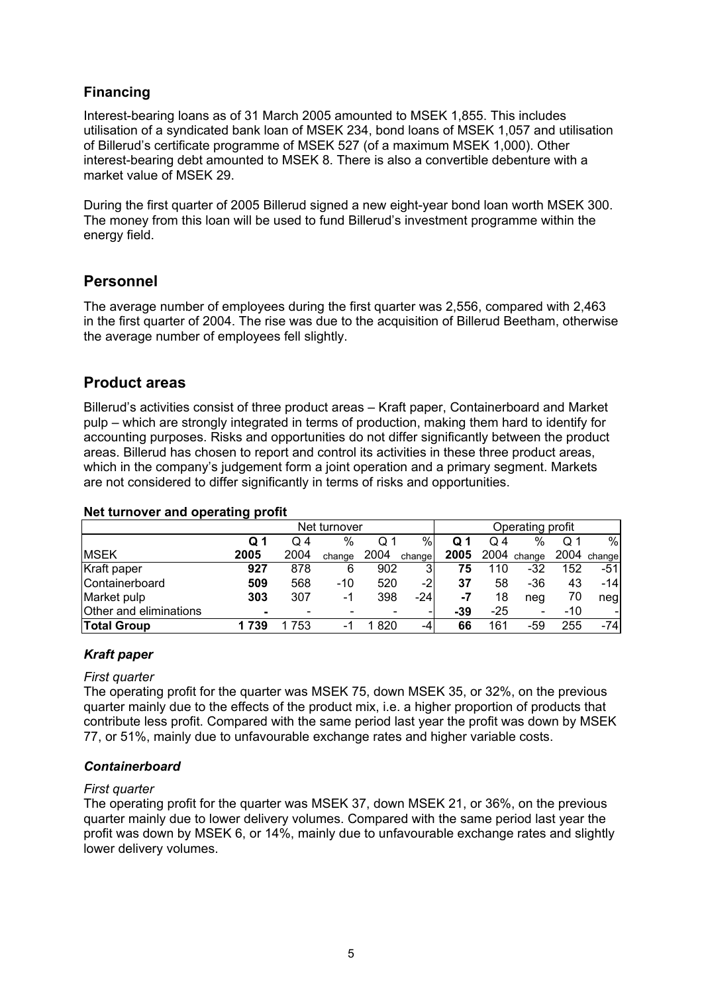# **Financing**

Interest-bearing loans as of 31 March 2005 amounted to MSEK 1,855. This includes utilisation of a syndicated bank loan of MSEK 234, bond loans of MSEK 1,057 and utilisation of Billerud's certificate programme of MSEK 527 (of a maximum MSEK 1,000). Other interest-bearing debt amounted to MSEK 8. There is also a convertible debenture with a market value of MSEK 29.

During the first quarter of 2005 Billerud signed a new eight-year bond loan worth MSEK 300. The money from this loan will be used to fund Billerud's investment programme within the energy field.

# **Personnel**

The average number of employees during the first quarter was 2,556, compared with 2,463 in the first quarter of 2004. The rise was due to the acquisition of Billerud Beetham, otherwise the average number of employees fell slightly.

# **Product areas**

Billerud's activities consist of three product areas – Kraft paper, Containerboard and Market pulp – which are strongly integrated in terms of production, making them hard to identify for accounting purposes. Risks and opportunities do not differ significantly between the product areas. Billerud has chosen to report and control its activities in these three product areas, which in the company's judgement form a joint operation and a primary segment. Markets are not considered to differ significantly in terms of risks and opportunities.

#### **Net turnover and operating profit**

|                        | - -            |      |        |      |        |                  |       |             |     |             |
|------------------------|----------------|------|--------|------|--------|------------------|-------|-------------|-----|-------------|
| Net turnover           |                |      |        |      |        | Operating profit |       |             |     |             |
|                        | Q <sub>1</sub> | Q 4  | %      | Q 1  | %      | Q 1              | O 4   | $\%$        | Q 1 | %           |
| <b>MSEK</b>            | 2005           | 2004 | change | 2004 | change | 2005             |       | 2004 change |     | 2004 change |
| Kraft paper            | 927            | 878  | 6      | 902  | 3      | 75               | 110   | -32         | 152 | -51         |
| Containerboard         | 509            | 568  | $-10$  | 520  | -21    | 37               | 58    | $-36$       | 43  | $-14$       |
| Market pulp            | 303            | 307  | -1     | 398  | $-24$  | -7               | 18    | neg         | 70  | neg         |
| Other and eliminations |                | -    |        |      | -      | -39              | $-25$ | -           | -10 |             |
| Total Group            | 739            | 753  | -      | 820  | -4     | 66               | 161   | -59         | 255 | -741        |

### *Kraft paper*

#### *First quarter*

The operating profit for the quarter was MSEK 75, down MSEK 35, or 32%, on the previous quarter mainly due to the effects of the product mix, i.e. a higher proportion of products that contribute less profit. Compared with the same period last year the profit was down by MSEK 77, or 51%, mainly due to unfavourable exchange rates and higher variable costs.

### *Containerboard*

#### *First quarter*

The operating profit for the quarter was MSEK 37, down MSEK 21, or 36%, on the previous quarter mainly due to lower delivery volumes. Compared with the same period last year the profit was down by MSEK 6, or 14%, mainly due to unfavourable exchange rates and slightly lower delivery volumes.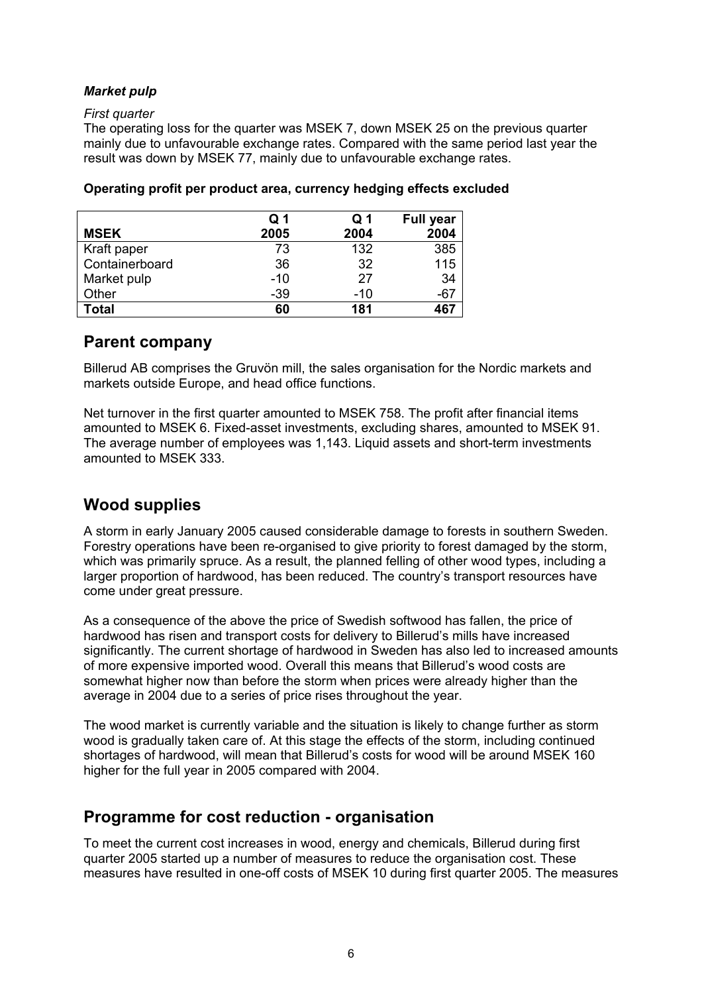### *Market pulp*

#### *First quarter*

The operating loss for the quarter was MSEK 7, down MSEK 25 on the previous quarter mainly due to unfavourable exchange rates. Compared with the same period last year the result was down by MSEK 77, mainly due to unfavourable exchange rates.

|                | Q 1   | Q 1   | <b>Full year</b> |
|----------------|-------|-------|------------------|
| <b>MSEK</b>    | 2005  | 2004  | 2004             |
| Kraft paper    | 73    | 132   | 385              |
| Containerboard | 36    | 32    | 115              |
| Market pulp    | $-10$ | 27    | 34               |
| Other          | -39   | $-10$ | $-67$            |
| <b>Total</b>   | 60    | 181   | 467              |

#### **Operating profit per product area, currency hedging effects excluded**

# **Parent company**

Billerud AB comprises the Gruvön mill, the sales organisation for the Nordic markets and markets outside Europe, and head office functions.

Net turnover in the first quarter amounted to MSEK 758. The profit after financial items amounted to MSEK 6. Fixed-asset investments, excluding shares, amounted to MSEK 91. The average number of employees was 1,143. Liquid assets and short-term investments amounted to MSEK 333.

# **Wood supplies**

A storm in early January 2005 caused considerable damage to forests in southern Sweden. Forestry operations have been re-organised to give priority to forest damaged by the storm, which was primarily spruce. As a result, the planned felling of other wood types, including a larger proportion of hardwood, has been reduced. The country's transport resources have come under great pressure.

As a consequence of the above the price of Swedish softwood has fallen, the price of hardwood has risen and transport costs for delivery to Billerud's mills have increased significantly. The current shortage of hardwood in Sweden has also led to increased amounts of more expensive imported wood. Overall this means that Billerud's wood costs are somewhat higher now than before the storm when prices were already higher than the average in 2004 due to a series of price rises throughout the year.

The wood market is currently variable and the situation is likely to change further as storm wood is gradually taken care of. At this stage the effects of the storm, including continued shortages of hardwood, will mean that Billerud's costs for wood will be around MSEK 160 higher for the full year in 2005 compared with 2004.

# **Programme for cost reduction - organisation**

To meet the current cost increases in wood, energy and chemicals, Billerud during first quarter 2005 started up a number of measures to reduce the organisation cost. These measures have resulted in one-off costs of MSEK 10 during first quarter 2005. The measures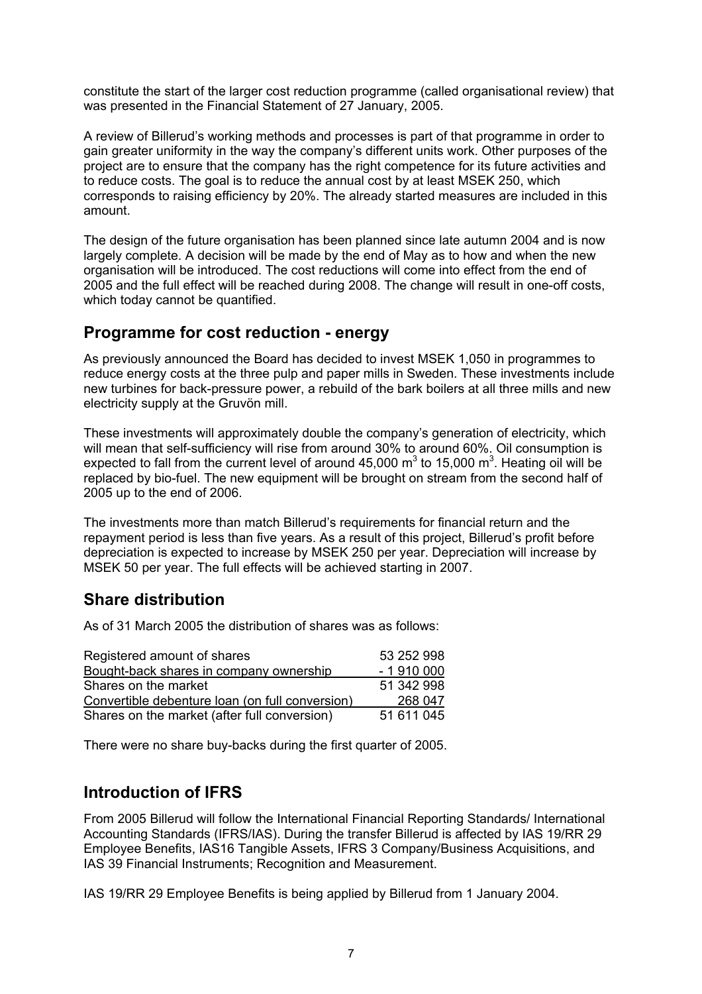constitute the start of the larger cost reduction programme (called organisational review) that was presented in the Financial Statement of 27 January, 2005.

A review of Billerud's working methods and processes is part of that programme in order to gain greater uniformity in the way the company's different units work. Other purposes of the project are to ensure that the company has the right competence for its future activities and to reduce costs. The goal is to reduce the annual cost by at least MSEK 250, which corresponds to raising efficiency by 20%. The already started measures are included in this amount.

The design of the future organisation has been planned since late autumn 2004 and is now largely complete. A decision will be made by the end of May as to how and when the new organisation will be introduced. The cost reductions will come into effect from the end of 2005 and the full effect will be reached during 2008. The change will result in one-off costs, which today cannot be quantified.

# **Programme for cost reduction - energy**

As previously announced the Board has decided to invest MSEK 1,050 in programmes to reduce energy costs at the three pulp and paper mills in Sweden. These investments include new turbines for back-pressure power, a rebuild of the bark boilers at all three mills and new electricity supply at the Gruvön mill.

These investments will approximately double the company's generation of electricity, which will mean that self-sufficiency will rise from around 30% to around 60%. Oil consumption is expected to fall from the current level of around 45,000  $m^3$  to 15,000  $m^3$ . Heating oil will be replaced by bio-fuel. The new equipment will be brought on stream from the second half of 2005 up to the end of 2006.

The investments more than match Billerud's requirements for financial return and the repayment period is less than five years. As a result of this project, Billerud's profit before depreciation is expected to increase by MSEK 250 per year. Depreciation will increase by MSEK 50 per year. The full effects will be achieved starting in 2007.

# **Share distribution**

As of 31 March 2005 the distribution of shares was as follows:

| Registered amount of shares                     | 53 252 998 |
|-------------------------------------------------|------------|
| Bought-back shares in company ownership         | $-1910000$ |
| Shares on the market                            | 51 342 998 |
| Convertible debenture loan (on full conversion) | 268 047    |
| Shares on the market (after full conversion)    | 51 611 045 |

There were no share buy-backs during the first quarter of 2005.

# **Introduction of IFRS**

From 2005 Billerud will follow the International Financial Reporting Standards/ International Accounting Standards (IFRS/IAS). During the transfer Billerud is affected by IAS 19/RR 29 Employee Benefits, IAS16 Tangible Assets, IFRS 3 Company/Business Acquisitions, and IAS 39 Financial Instruments; Recognition and Measurement.

IAS 19/RR 29 Employee Benefits is being applied by Billerud from 1 January 2004.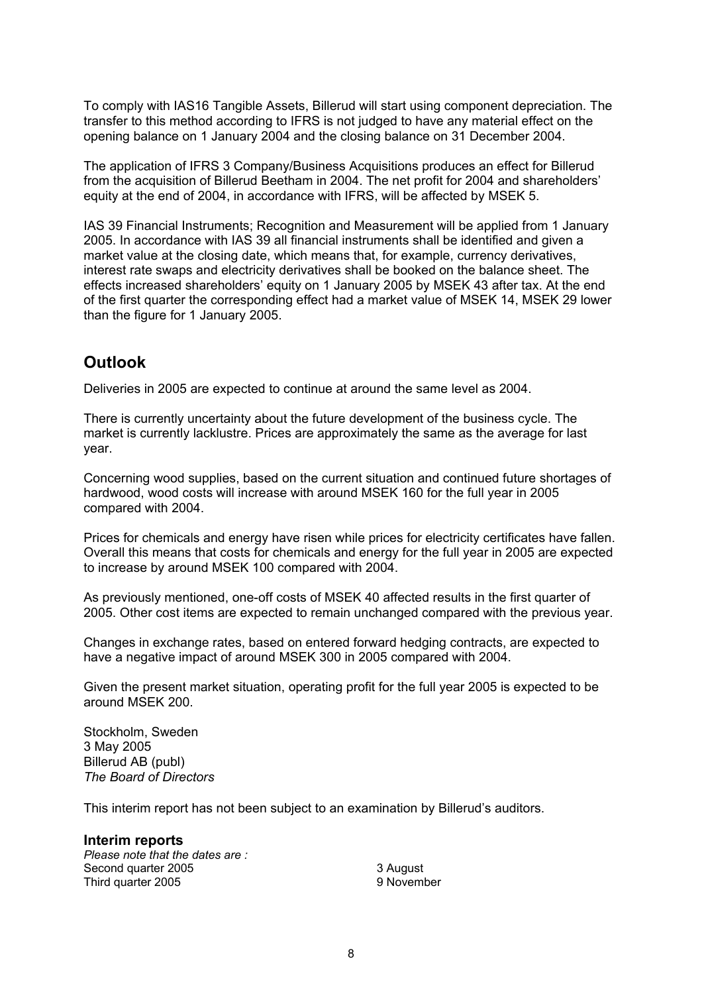To comply with IAS16 Tangible Assets, Billerud will start using component depreciation. The transfer to this method according to IFRS is not judged to have any material effect on the opening balance on 1 January 2004 and the closing balance on 31 December 2004.

The application of IFRS 3 Company/Business Acquisitions produces an effect for Billerud from the acquisition of Billerud Beetham in 2004. The net profit for 2004 and shareholders' equity at the end of 2004, in accordance with IFRS, will be affected by MSEK 5.

IAS 39 Financial Instruments; Recognition and Measurement will be applied from 1 January 2005. In accordance with IAS 39 all financial instruments shall be identified and given a market value at the closing date, which means that, for example, currency derivatives, interest rate swaps and electricity derivatives shall be booked on the balance sheet. The effects increased shareholders' equity on 1 January 2005 by MSEK 43 after tax. At the end of the first quarter the corresponding effect had a market value of MSEK 14, MSEK 29 lower than the figure for 1 January 2005.

# **Outlook**

Deliveries in 2005 are expected to continue at around the same level as 2004.

There is currently uncertainty about the future development of the business cycle. The market is currently lacklustre. Prices are approximately the same as the average for last year.

Concerning wood supplies, based on the current situation and continued future shortages of hardwood, wood costs will increase with around MSEK 160 for the full year in 2005 compared with 2004.

Prices for chemicals and energy have risen while prices for electricity certificates have fallen. Overall this means that costs for chemicals and energy for the full year in 2005 are expected to increase by around MSEK 100 compared with 2004.

As previously mentioned, one-off costs of MSEK 40 affected results in the first quarter of 2005. Other cost items are expected to remain unchanged compared with the previous year.

Changes in exchange rates, based on entered forward hedging contracts, are expected to have a negative impact of around MSEK 300 in 2005 compared with 2004.

Given the present market situation, operating profit for the full year 2005 is expected to be around MSEK 200.

Stockholm, Sweden 3 May 2005 Billerud AB (publ) *The Board of Directors* 

This interim report has not been subject to an examination by Billerud's auditors.

**Interim reports**  *Please note that the dates are :*  Second quarter 2005 Third quarter 2005

3 August 9 November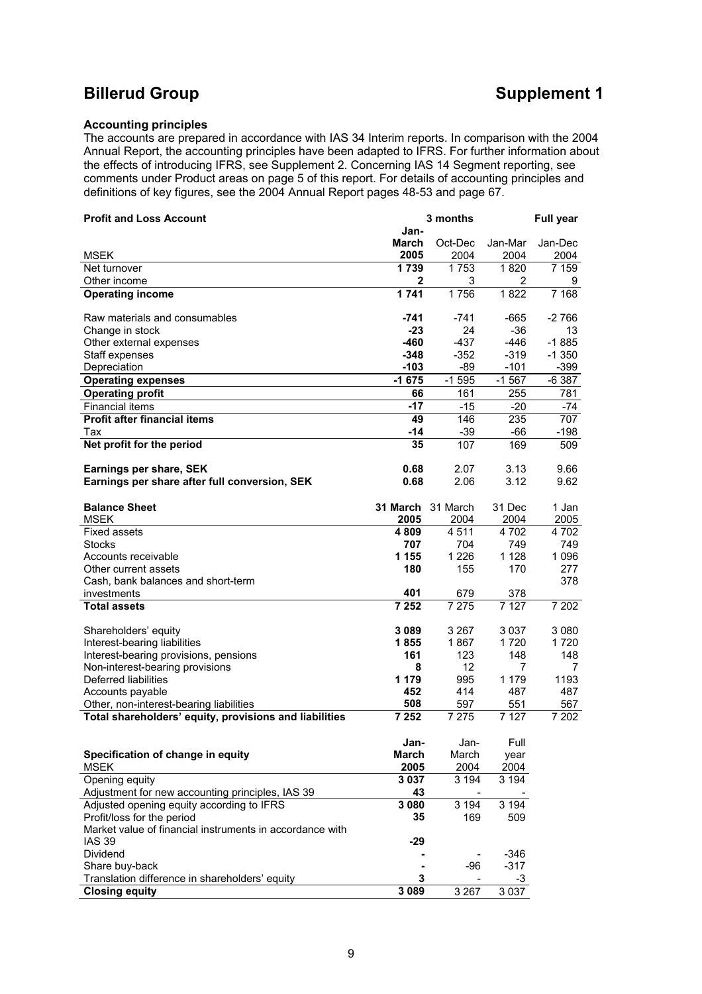# **Billerud Group Supplement 1**

#### **Accounting principles**

The accounts are prepared in accordance with IAS 34 Interim reports. In comparison with the 2004 Annual Report, the accounting principles have been adapted to IFRS. For further information about the effects of introducing IFRS, see Supplement 2. Concerning IAS 14 Segment reporting, see comments under Product areas on page 5 of this report. For details of accounting principles and definitions of key figures, see the 2004 Annual Report pages 48-53 and page 67.

| <b>Profit and Loss Account</b>                                            | 3 months<br><b>Full year</b> |                          |                |         |
|---------------------------------------------------------------------------|------------------------------|--------------------------|----------------|---------|
|                                                                           | Jan-                         |                          |                |         |
|                                                                           | March                        | Oct-Dec                  | Jan-Mar        | Jan-Dec |
| <b>MSEK</b>                                                               | 2005                         | 2004                     | 2004           | 2004    |
| Net turnover                                                              | 1739                         | 1753                     | 1820           | 7 159   |
| Other income                                                              | 2                            | 3                        | 2              | 9       |
| <b>Operating income</b>                                                   | 1741                         | 1756                     | 1822           | 7 1 6 8 |
| Raw materials and consumables                                             | -741                         | $-741$                   | -665           | -2 766  |
| Change in stock                                                           | $-23$                        | 24                       | $-36$          | 13      |
| Other external expenses                                                   | $-460$                       | $-437$                   | -446           | $-1885$ |
| Staff expenses                                                            | $-348$                       | $-352$                   | $-319$         | $-1350$ |
| Depreciation                                                              | $-103$                       | -89                      | $-101$         | $-399$  |
| <b>Operating expenses</b>                                                 | $-1675$                      | $-1595$                  | $-1567$        | $-6387$ |
| <b>Operating profit</b>                                                   | 66                           | 161                      | 255            | 781     |
| <b>Financial items</b>                                                    | $-17$                        | $-15$                    | $-20$          | $-74$   |
| <b>Profit after financial items</b>                                       | 49<br>$-14$                  | 146                      | 235            | 707     |
| Tax                                                                       | 35                           | $-39$<br>107             | $-66$<br>169   | $-198$  |
| Net profit for the period                                                 |                              |                          |                | 509     |
| Earnings per share, SEK                                                   | 0.68                         | 2.07                     | 3.13           | 9.66    |
| Earnings per share after full conversion, SEK                             | 0.68                         | 2.06                     | 3.12           | 9.62    |
|                                                                           |                              |                          |                |         |
| <b>Balance Sheet</b>                                                      | 31 March                     | 31 March                 | 31 Dec         | 1 Jan   |
| <b>MSEK</b>                                                               | 2005                         | 2004                     | 2004           | 2005    |
| <b>Fixed assets</b>                                                       | 4809                         | 4511                     | 4 702          | 4 702   |
| Stocks                                                                    | 707                          | 704                      | 749            | 749     |
| Accounts receivable                                                       | 1 1 5 5                      | 1 2 2 6                  | 1 1 2 8        | 1 0 9 6 |
| Other current assets                                                      | 180                          | 155                      | 170            | 277     |
| Cash, bank balances and short-term                                        |                              |                          |                | 378     |
| investments                                                               | 401<br>7 2 5 2               | 679<br>$\frac{1}{7}$ 275 | 378<br>7 1 2 7 |         |
| <b>Total assets</b>                                                       |                              |                          |                | 7 202   |
| Shareholders' equity                                                      | 3089                         | 3 2 6 7                  | 3 0 3 7        | 3 0 8 0 |
| Interest-bearing liabilities                                              | 1855                         | 1867                     | 1720           | 1720    |
| Interest-bearing provisions, pensions                                     | 161                          | 123                      | 148            | 148     |
| Non-interest-bearing provisions                                           | 8                            | 12                       | 7              | 7       |
| Deferred liabilities                                                      | 1 1 7 9                      | 995                      | 1 1 7 9        | 1193    |
| Accounts payable                                                          | 452                          | 414                      | 487            | 487     |
| Other, non-interest-bearing liabilities                                   | 508                          | 597                      | 551            | 567     |
| Total shareholders' equity, provisions and liabilities                    | 7 2 5 2                      | 7 2 7 5                  | 7 1 2 7        | 7 202   |
|                                                                           | Jan-                         | Jan-                     | Full           |         |
| Specification of change in equity                                         | March                        | March                    | year           |         |
| <b>MSEK</b>                                                               | 2005                         | 2004                     | 2004           |         |
| Opening equity                                                            | 3 0 3 7                      | 3 1 9 4                  | 3 1 9 4        |         |
| Adjustment for new accounting principles, IAS 39                          | 43                           |                          |                |         |
| Adjusted opening equity according to IFRS                                 | 3 0 8 0                      | $3\,194$                 | 3194           |         |
| Profit/loss for the period                                                | 35                           | 169                      | 509            |         |
| Market value of financial instruments in accordance with<br><b>IAS 39</b> | -29                          |                          |                |         |
| Dividend                                                                  |                              |                          | $-346$         |         |
| Share buy-back                                                            |                              | $-96$                    | $-317$         |         |
| Translation difference in shareholders' equity                            | 3                            |                          | $-3$           |         |
| <b>Closing equity</b>                                                     | 3 0 8 9                      | 3 2 6 7                  | 3 0 3 7        |         |
|                                                                           |                              |                          |                |         |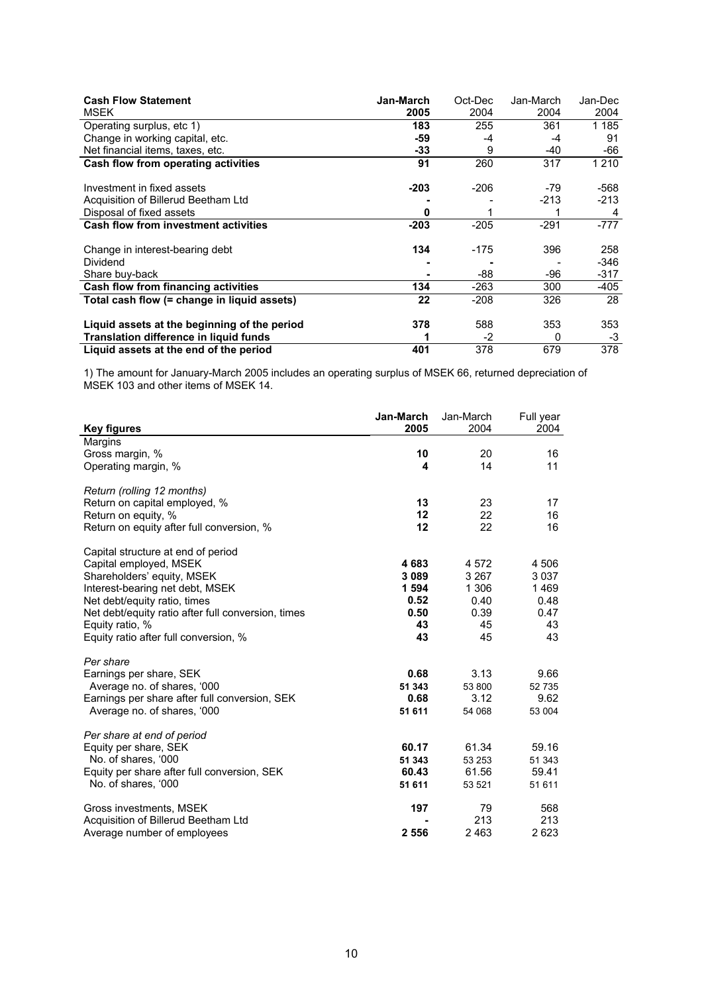| <b>Cash Flow Statement</b><br><b>MSEK</b>    | Jan-March<br>2005 | Oct-Dec<br>2004 | Jan-March<br>2004 | Jan-Dec<br>2004 |
|----------------------------------------------|-------------------|-----------------|-------------------|-----------------|
| Operating surplus, etc 1)                    | 183               | 255             | 361               | 1 1 8 5         |
| Change in working capital, etc.              | -59               | -4              | -4                | 91              |
| Net financial items, taxes, etc.             | -33               | 9               | -40               | -66             |
| Cash flow from operating activities          | 91                | 260             | 317               | 1 2 1 0         |
| Investment in fixed assets                   | $-203$            | $-206$          | -79               | -568            |
| Acquisition of Billerud Beetham Ltd          |                   |                 | $-213$            | -213            |
| Disposal of fixed assets                     | 0                 |                 |                   | 4               |
| <b>Cash flow from investment activities</b>  | $-203$            | $-205$          | $-291$            | -777            |
| Change in interest-bearing debt              | 134               | -175            | 396               | 258             |
| Dividend                                     |                   |                 |                   | -346            |
| Share buy-back                               |                   | -88             | -96               | -317            |
| Cash flow from financing activities          | 134               | -263            | 300               | -405            |
| Total cash flow (= change in liquid assets)  | 22                | $-208$          | 326               | 28              |
| Liquid assets at the beginning of the period | 378               | 588             | 353               | 353             |
| Translation difference in liquid funds       |                   | $-2$            | 0                 | -3              |
| Liquid assets at the end of the period       | 401               | 378             | 679               | 378             |

1) The amount for January-March 2005 includes an operating surplus of MSEK 66, returned depreciation of MSEK 103 and other items of MSEK 14.

| <b>Key figures</b>                                 | Jan-March<br>2005 | Jan-March<br>2004 | Full year<br>2004 |
|----------------------------------------------------|-------------------|-------------------|-------------------|
| Margins                                            |                   |                   |                   |
| Gross margin, %                                    | 10                | 20                | 16                |
| Operating margin, %                                | 4                 | 14                | 11                |
|                                                    |                   |                   |                   |
| Return (rolling 12 months)                         |                   |                   |                   |
| Return on capital employed, %                      | 13                | 23                | 17                |
| Return on equity, %                                | 12                | 22                | 16                |
| Return on equity after full conversion, %          | 12                | 22                | 16                |
| Capital structure at end of period                 |                   |                   |                   |
| Capital employed, MSEK                             | 4683              | 4 5 7 2           | 4 506             |
| Shareholders' equity, MSEK                         | 3 0 8 9           | 3 2 6 7           | 3 0 3 7           |
| Interest-bearing net debt, MSEK                    | 1 5 9 4           | 1 30 6            | 1469              |
| Net debt/equity ratio, times                       | 0.52              | 0.40              | 0.48              |
| Net debt/equity ratio after full conversion, times | 0.50              | 0.39              | 0.47              |
| Equity ratio, %                                    | 43                | 45                | 43                |
| Equity ratio after full conversion, %              | 43                | 45                | 43                |
| Per share                                          |                   |                   |                   |
| Earnings per share, SEK                            | 0.68              | 3.13              | 9.66              |
| Average no. of shares, '000                        | 51 343            | 53 800            | 52 735            |
| Earnings per share after full conversion, SEK      | 0.68              | 3.12              | 9.62              |
| Average no. of shares, '000                        | 51 611            | 54 068            | 53 004            |
| Per share at end of period                         |                   |                   |                   |
| Equity per share, SEK                              | 60.17             | 61.34             | 59.16             |
| No. of shares, '000                                | 51 343            | 53 253            | 51 343            |
| Equity per share after full conversion, SEK        | 60.43             | 61.56             | 59.41             |
| No. of shares, '000                                | 51 611            | 53 521            | 51 611            |
| Gross investments, MSEK                            | 197               | 79                | 568               |
| Acquisition of Billerud Beetham Ltd                |                   | 213               | 213               |
| Average number of employees                        | 2 5 5 6           | 2 4 6 3           | 2623              |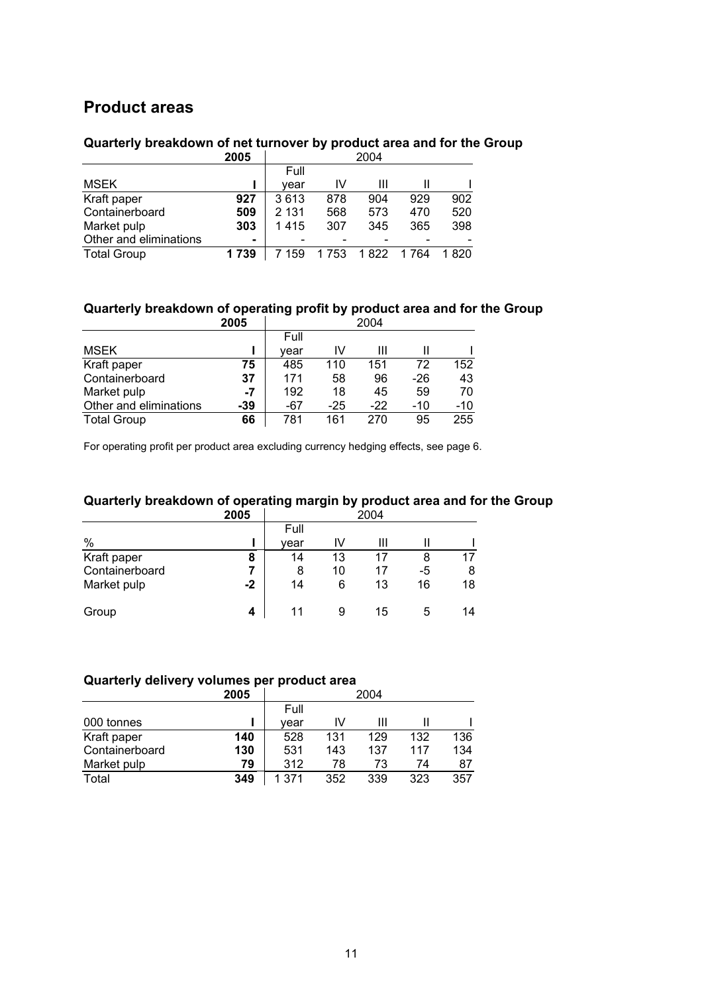# **Product areas**

# **Quarterly breakdown of net turnover by product area and for the Group**

|                        | 2005           | 2004    |      |       |         |       |
|------------------------|----------------|---------|------|-------|---------|-------|
|                        |                | Full    |      |       |         |       |
| <b>MSEK</b>            |                | vear    | ΙV   | Ш     |         |       |
| Kraft paper            | 927            | 3613    | 878  | 904   | 929     | 902   |
| Containerboard         | 509            | 2 1 3 1 | 568  | 573   | 470     | 520   |
| Market pulp            | 303            | 1415    | 307  | 345   | 365     | 398   |
| Other and eliminations | $\blacksquare$ |         |      |       |         |       |
| <b>Total Group</b>     | 1739           | 159     | 1753 | 1 822 | 1 7 6 4 | 1 820 |

# **Quarterly breakdown of operating profit by product area and for the Group**

|                        | 2005  | 2004 |     |       |       |       |
|------------------------|-------|------|-----|-------|-------|-------|
|                        |       | Full |     |       |       |       |
| <b>MSEK</b>            |       | vear | IV  | Ш     |       |       |
| Kraft paper            | 75    | 485  | 110 | 151   | 72    | 152   |
| Containerboard         | 37    | 171  | 58  | 96    | -26   | 43    |
| Market pulp            | $-7$  | 192  | 18  | 45    | 59    | 70    |
| Other and eliminations | $-39$ | -67  | -25 | $-22$ | $-10$ | $-10$ |
| <b>Total Group</b>     | 66    | 781  | 161 | 270   | 95    | 255   |

For operating profit per product area excluding currency hedging effects, see page 6.

### **Quarterly breakdown of operating margin by product area and for the Group**

|                | 2005 | 2004 |    |    |    |    |
|----------------|------|------|----|----|----|----|
|                |      | Full |    |    |    |    |
| $\%$           |      | vear | IV | Ш  |    |    |
| Kraft paper    | 8    | 14   | 13 | 17 | 8  | 17 |
| Containerboard |      | 8    | 10 | 17 | -5 | 8  |
| Market pulp    | $-2$ | 14   | 6  | 13 | 16 | 18 |
| Group          | 4    | 11   | 9  | 15 | 5  | 14 |

#### **Quarterly delivery volumes per product area**

|                | 2005 | 2004  |     |     |     |     |
|----------------|------|-------|-----|-----|-----|-----|
|                |      | Full  |     |     |     |     |
| 000 tonnes     |      | vear  | ΙV  |     |     |     |
| Kraft paper    | 140  | 528   | 131 | 129 | 132 | 136 |
| Containerboard | 130  | 531   | 143 | 137 | 117 | 134 |
| Market pulp    | 79   | 312   | 78  | 73  | 74  | 87  |
| Total          | 349  | 1.371 | 352 | 339 | 323 | 357 |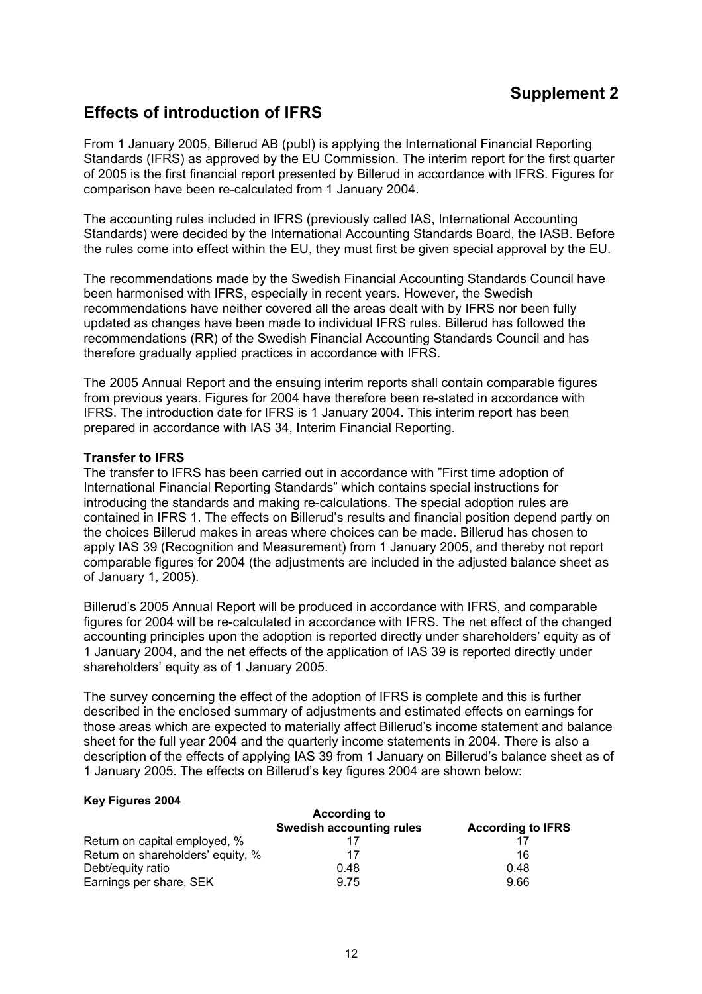# **Supplement 2**

# **Effects of introduction of IFRS**

From 1 January 2005, Billerud AB (publ) is applying the International Financial Reporting Standards (IFRS) as approved by the EU Commission. The interim report for the first quarter of 2005 is the first financial report presented by Billerud in accordance with IFRS. Figures for comparison have been re-calculated from 1 January 2004.

The accounting rules included in IFRS (previously called IAS, International Accounting Standards) were decided by the International Accounting Standards Board, the IASB. Before the rules come into effect within the EU, they must first be given special approval by the EU.

The recommendations made by the Swedish Financial Accounting Standards Council have been harmonised with IFRS, especially in recent years. However, the Swedish recommendations have neither covered all the areas dealt with by IFRS nor been fully updated as changes have been made to individual IFRS rules. Billerud has followed the recommendations (RR) of the Swedish Financial Accounting Standards Council and has therefore gradually applied practices in accordance with IFRS.

The 2005 Annual Report and the ensuing interim reports shall contain comparable figures from previous years. Figures for 2004 have therefore been re-stated in accordance with IFRS. The introduction date for IFRS is 1 January 2004. This interim report has been prepared in accordance with IAS 34, Interim Financial Reporting.

#### **Transfer to IFRS**

The transfer to IFRS has been carried out in accordance with "First time adoption of International Financial Reporting Standards" which contains special instructions for introducing the standards and making re-calculations. The special adoption rules are contained in IFRS 1. The effects on Billerud's results and financial position depend partly on the choices Billerud makes in areas where choices can be made. Billerud has chosen to apply IAS 39 (Recognition and Measurement) from 1 January 2005, and thereby not report comparable figures for 2004 (the adjustments are included in the adjusted balance sheet as of January 1, 2005).

Billerud's 2005 Annual Report will be produced in accordance with IFRS, and comparable figures for 2004 will be re-calculated in accordance with IFRS. The net effect of the changed accounting principles upon the adoption is reported directly under shareholders' equity as of 1 January 2004, and the net effects of the application of IAS 39 is reported directly under shareholders' equity as of 1 January 2005.

The survey concerning the effect of the adoption of IFRS is complete and this is further described in the enclosed summary of adjustments and estimated effects on earnings for those areas which are expected to materially affect Billerud's income statement and balance sheet for the full year 2004 and the quarterly income statements in 2004. There is also a description of the effects of applying IAS 39 from 1 January on Billerud's balance sheet as of 1 January 2005. The effects on Billerud's key figures 2004 are shown below:

#### **Key Figures 2004**

| <b>According to</b>               |                                 |                          |  |  |  |
|-----------------------------------|---------------------------------|--------------------------|--|--|--|
|                                   | <b>Swedish accounting rules</b> | <b>According to IFRS</b> |  |  |  |
| Return on capital employed, %     |                                 |                          |  |  |  |
| Return on shareholders' equity, % | 17                              | 16                       |  |  |  |
| Debt/equity ratio                 | 0.48                            | 0.48                     |  |  |  |
| Earnings per share, SEK           | 9.75                            | 9.66                     |  |  |  |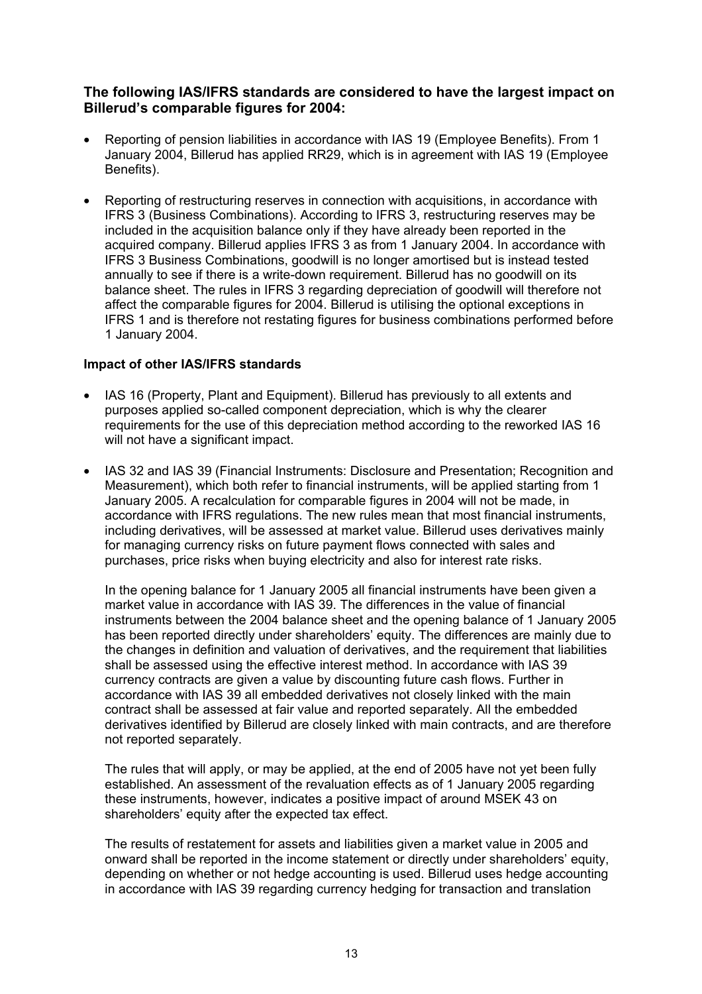### **The following IAS/IFRS standards are considered to have the largest impact on Billerud's comparable figures for 2004:**

- Reporting of pension liabilities in accordance with IAS 19 (Employee Benefits). From 1 January 2004, Billerud has applied RR29, which is in agreement with IAS 19 (Employee Benefits).
- Reporting of restructuring reserves in connection with acquisitions, in accordance with IFRS 3 (Business Combinations). According to IFRS 3, restructuring reserves may be included in the acquisition balance only if they have already been reported in the acquired company. Billerud applies IFRS 3 as from 1 January 2004. In accordance with IFRS 3 Business Combinations, goodwill is no longer amortised but is instead tested annually to see if there is a write-down requirement. Billerud has no goodwill on its balance sheet. The rules in IFRS 3 regarding depreciation of goodwill will therefore not affect the comparable figures for 2004. Billerud is utilising the optional exceptions in IFRS 1 and is therefore not restating figures for business combinations performed before 1 January 2004.

#### **Impact of other IAS/IFRS standards**

- IAS 16 (Property, Plant and Equipment). Billerud has previously to all extents and purposes applied so-called component depreciation, which is why the clearer requirements for the use of this depreciation method according to the reworked IAS 16 will not have a significant impact.
- IAS 32 and IAS 39 (Financial Instruments: Disclosure and Presentation; Recognition and Measurement), which both refer to financial instruments, will be applied starting from 1 January 2005. A recalculation for comparable figures in 2004 will not be made, in accordance with IFRS regulations. The new rules mean that most financial instruments, including derivatives, will be assessed at market value. Billerud uses derivatives mainly for managing currency risks on future payment flows connected with sales and purchases, price risks when buying electricity and also for interest rate risks.

In the opening balance for 1 January 2005 all financial instruments have been given a market value in accordance with IAS 39. The differences in the value of financial instruments between the 2004 balance sheet and the opening balance of 1 January 2005 has been reported directly under shareholders' equity. The differences are mainly due to the changes in definition and valuation of derivatives, and the requirement that liabilities shall be assessed using the effective interest method. In accordance with IAS 39 currency contracts are given a value by discounting future cash flows. Further in accordance with IAS 39 all embedded derivatives not closely linked with the main contract shall be assessed at fair value and reported separately. All the embedded derivatives identified by Billerud are closely linked with main contracts, and are therefore not reported separately.

The rules that will apply, or may be applied, at the end of 2005 have not yet been fully established. An assessment of the revaluation effects as of 1 January 2005 regarding these instruments, however, indicates a positive impact of around MSEK 43 on shareholders' equity after the expected tax effect.

The results of restatement for assets and liabilities given a market value in 2005 and onward shall be reported in the income statement or directly under shareholders' equity, depending on whether or not hedge accounting is used. Billerud uses hedge accounting in accordance with IAS 39 regarding currency hedging for transaction and translation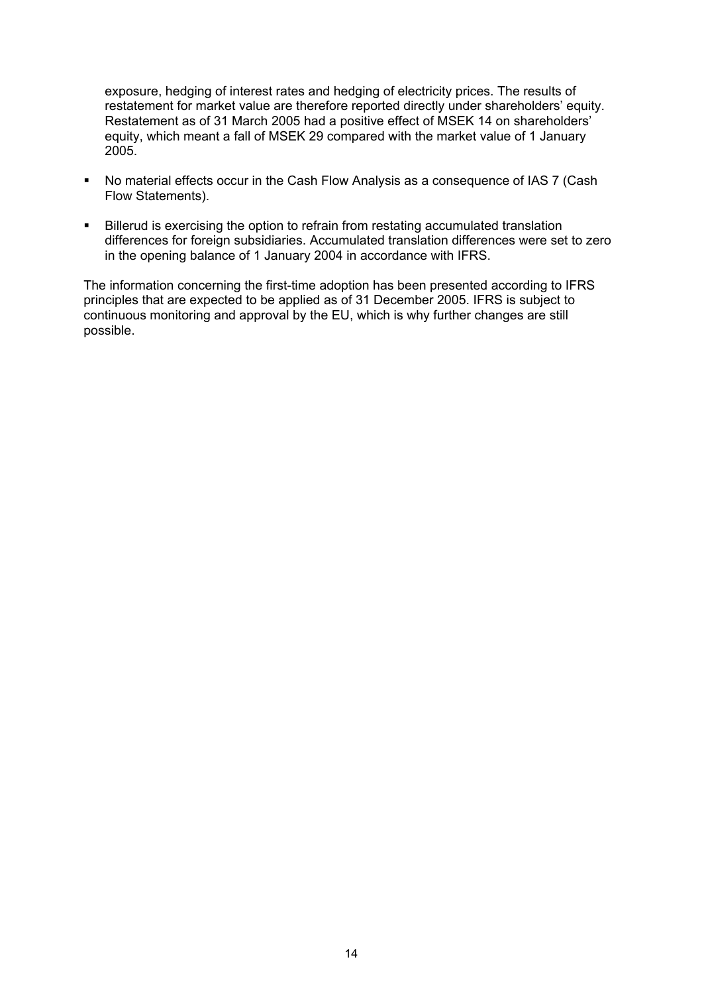exposure, hedging of interest rates and hedging of electricity prices. The results of restatement for market value are therefore reported directly under shareholders' equity. Restatement as of 31 March 2005 had a positive effect of MSEK 14 on shareholders' equity, which meant a fall of MSEK 29 compared with the market value of 1 January 2005.

- No material effects occur in the Cash Flow Analysis as a consequence of IAS 7 (Cash Flow Statements).
- Billerud is exercising the option to refrain from restating accumulated translation differences for foreign subsidiaries. Accumulated translation differences were set to zero in the opening balance of 1 January 2004 in accordance with IFRS.

The information concerning the first-time adoption has been presented according to IFRS principles that are expected to be applied as of 31 December 2005. IFRS is subject to continuous monitoring and approval by the EU, which is why further changes are still possible.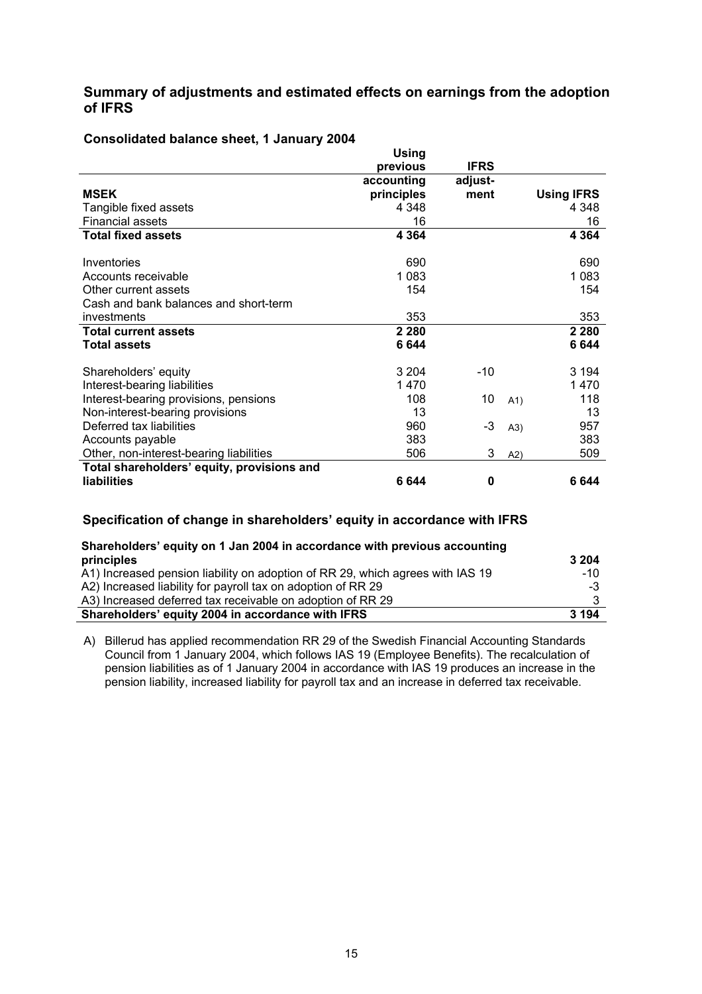### **Summary of adjustments and estimated effects on earnings from the adoption of IFRS**

|                                            | <b>Using</b> |             |      |                   |
|--------------------------------------------|--------------|-------------|------|-------------------|
|                                            | previous     | <b>IFRS</b> |      |                   |
|                                            | accounting   | adjust-     |      |                   |
| <b>MSEK</b>                                | principles   | ment        |      | <b>Using IFRS</b> |
| Tangible fixed assets                      | 4 3 4 8      |             |      | 4 3 4 8           |
| <b>Financial assets</b>                    | 16           |             |      | 16                |
| <b>Total fixed assets</b>                  | 4 3 6 4      |             |      | 4 3 6 4           |
| Inventories                                | 690          |             |      | 690               |
| Accounts receivable                        | 1 0 8 3      |             |      | 1 0 8 3           |
| Other current assets                       | 154          |             |      | 154               |
| Cash and bank balances and short-term      |              |             |      |                   |
| investments                                | 353          |             |      | 353               |
| <b>Total current assets</b>                | 2 2 8 0      |             |      | 2 2 8 0           |
| <b>Total assets</b>                        | 6644         |             |      | 6644              |
| Shareholders' equity                       | 3 2 0 4      | $-10$       |      | 3 1 9 4           |
| Interest-bearing liabilities               | 1470         |             |      | 1470              |
| Interest-bearing provisions, pensions      | 108          | 10          | A1)  | 118               |
| Non-interest-bearing provisions            | 13           |             |      | 13                |
| Deferred tax liabilities                   | 960          | -3          | (A3) | 957               |
| Accounts payable                           | 383          |             |      | 383               |
| Other, non-interest-bearing liabilities    | 506          | 3           | A2)  | 509               |
| Total shareholders' equity, provisions and |              |             |      |                   |
| <b>liabilities</b>                         | 6644         | 0           |      | 6 644             |

#### **Consolidated balance sheet, 1 January 2004**

#### **Specification of change in shareholders' equity in accordance with IFRS**

| Shareholders' equity on 1 Jan 2004 in accordance with previous accounting      |         |
|--------------------------------------------------------------------------------|---------|
| principles                                                                     | 3 204   |
| A1) Increased pension liability on adoption of RR 29, which agrees with IAS 19 | -10     |
| A2) Increased liability for payroll tax on adoption of RR 29                   | $-3$    |
| A3) Increased deferred tax receivable on adoption of RR 29                     |         |
| Shareholders' equity 2004 in accordance with IFRS                              | 3 1 9 4 |

A) Billerud has applied recommendation RR 29 of the Swedish Financial Accounting Standards Council from 1 January 2004, which follows IAS 19 (Employee Benefits). The recalculation of pension liabilities as of 1 January 2004 in accordance with IAS 19 produces an increase in the pension liability, increased liability for payroll tax and an increase in deferred tax receivable.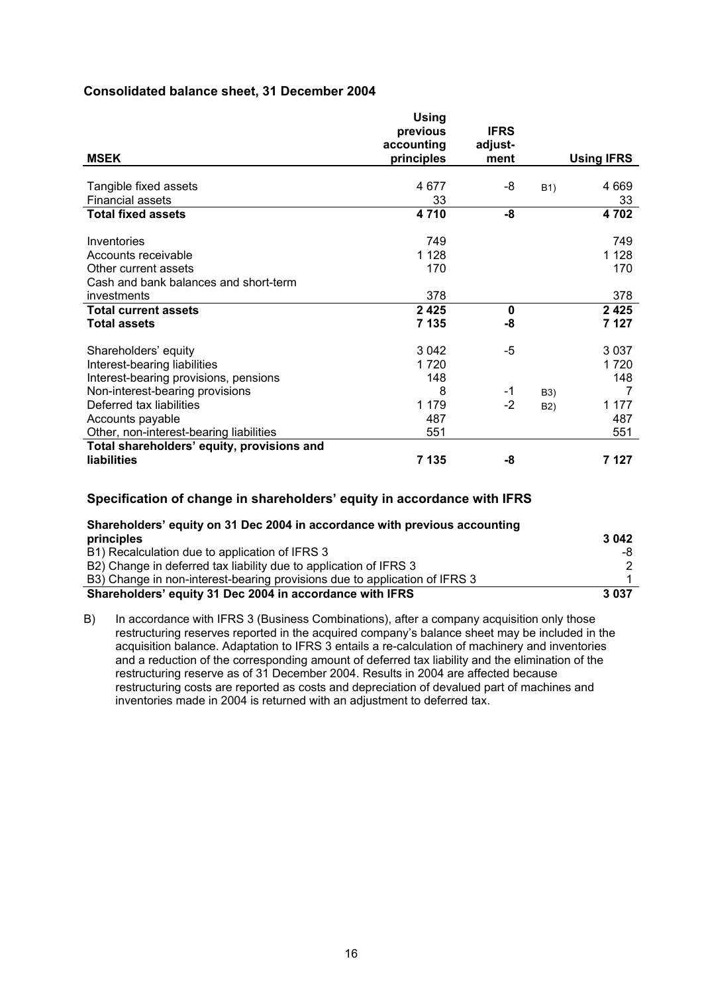#### **Consolidated balance sheet, 31 December 2004**

|                                            | Using<br>previous        | <b>IFRS</b>     |                  |                   |
|--------------------------------------------|--------------------------|-----------------|------------------|-------------------|
| <b>MSEK</b>                                | accounting<br>principles | adjust-<br>ment |                  | <b>Using IFRS</b> |
|                                            |                          |                 |                  |                   |
| Tangible fixed assets                      | 4677                     | -8              | B <sub>1</sub> ) | 4 6 6 9           |
| <b>Financial assets</b>                    | 33                       |                 |                  | 33                |
| <b>Total fixed assets</b>                  | 4710                     | -8              |                  | 4702              |
|                                            |                          |                 |                  |                   |
| Inventories                                | 749                      |                 |                  | 749               |
| Accounts receivable                        | 1 1 2 8                  |                 |                  | 1 1 2 8           |
| Other current assets                       | 170                      |                 |                  | 170               |
| Cash and bank balances and short-term      |                          |                 |                  |                   |
| investments                                | 378                      |                 |                  | 378               |
| <b>Total current assets</b>                | 2425                     | 0               |                  | 2425              |
| <b>Total assets</b>                        | 7 1 3 5                  | -8              |                  | 7 127             |
| Shareholders' equity                       | 3 0 4 2                  | -5              |                  | 3 0 3 7           |
| Interest-bearing liabilities               | 1 7 2 0                  |                 |                  | 1 7 2 0           |
| Interest-bearing provisions, pensions      | 148                      |                 |                  | 148               |
| Non-interest-bearing provisions            | 8                        | -1              | B3)              | 7                 |
| Deferred tax liabilities                   | 1 1 7 9                  | $-2$            | B <sub>2</sub> ) | 1 177             |
| Accounts payable                           | 487                      |                 |                  | 487               |
| Other, non-interest-bearing liabilities    | 551                      |                 |                  | 551               |
| Total shareholders' equity, provisions and |                          |                 |                  |                   |
| liabilities                                | 7 1 3 5                  | -8              |                  | 7 127             |

#### **Specification of change in shareholders' equity in accordance with IFRS**

| Shareholders' equity on 31 Dec 2004 in accordance with previous accounting |         |
|----------------------------------------------------------------------------|---------|
| principles                                                                 | 3 0 4 2 |
| B1) Recalculation due to application of IFRS 3                             | -8      |
| B2) Change in deferred tax liability due to application of IFRS 3          | 2       |
| B3) Change in non-interest-bearing provisions due to application of IFRS 3 |         |
| Shareholders' equity 31 Dec 2004 in accordance with IFRS                   | 3 0 3 7 |

B) In accordance with IFRS 3 (Business Combinations), after a company acquisition only those restructuring reserves reported in the acquired company's balance sheet may be included in the acquisition balance. Adaptation to IFRS 3 entails a re-calculation of machinery and inventories and a reduction of the corresponding amount of deferred tax liability and the elimination of the restructuring reserve as of 31 December 2004. Results in 2004 are affected because restructuring costs are reported as costs and depreciation of devalued part of machines and inventories made in 2004 is returned with an adjustment to deferred tax.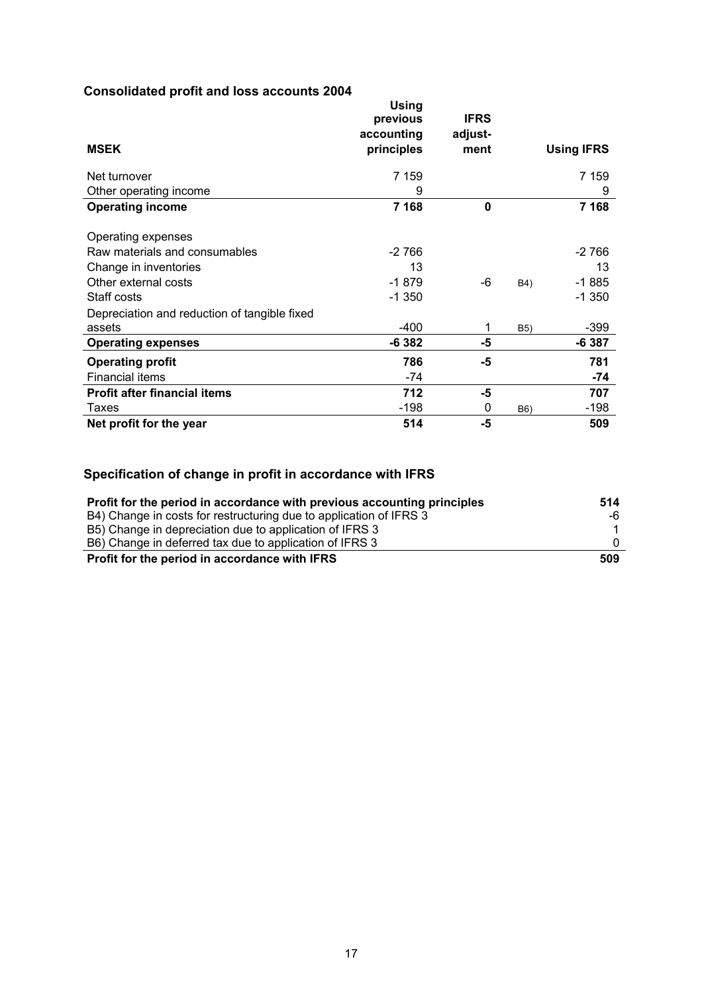# **Consolidated profit and loss accounts 2004**

| Consolidated profit and loss accounts 2004   | <b>Using</b><br>previous<br>accounting | <b>IFRS</b><br>adjust- |     |                   |
|----------------------------------------------|----------------------------------------|------------------------|-----|-------------------|
| <b>MSEK</b>                                  | principles                             | ment                   |     | <b>Using IFRS</b> |
| Net turnover                                 | 7 1 5 9                                |                        |     | 7 1 5 9           |
| Other operating income                       | 9                                      |                        |     | 9                 |
| <b>Operating income</b>                      | 7 1 6 8                                | $\mathbf{0}$           |     | 7 1 6 8           |
| Operating expenses                           |                                        |                        |     |                   |
| Raw materials and consumables                | $-2766$                                |                        |     | $-2766$           |
| Change in inventories                        | 13                                     |                        |     | 13                |
| Other external costs                         | $-1879$                                | -6                     | B4) | $-1885$           |
| Staff costs                                  | $-1350$                                |                        |     | $-1350$           |
| Depreciation and reduction of tangible fixed |                                        |                        |     |                   |
| assets                                       | $-400$                                 |                        | B5) | -399              |
| <b>Operating expenses</b>                    | $-6382$                                | -5                     |     | -6 387            |
| <b>Operating profit</b>                      | 786                                    | -5                     |     | 781               |
| <b>Financial items</b>                       | -74                                    |                        |     | -74               |
| <b>Profit after financial items</b>          | 712                                    | -5                     |     | 707               |
| Taxes                                        | $-198$                                 | 0                      | B6) | $-198$            |
| Net profit for the year                      | 514                                    | $-5$                   |     | 509               |

# **Specification of change in profit in accordance with IFRS**

| Profit for the period in accordance with previous accounting principles | 514      |
|-------------------------------------------------------------------------|----------|
| B4) Change in costs for restructuring due to application of IFRS 3      | -6       |
| B5) Change in depreciation due to application of IFRS 3                 | -1       |
| B6) Change in deferred tax due to application of IFRS 3                 | $\Omega$ |
| Profit for the period in accordance with IFRS                           | 509      |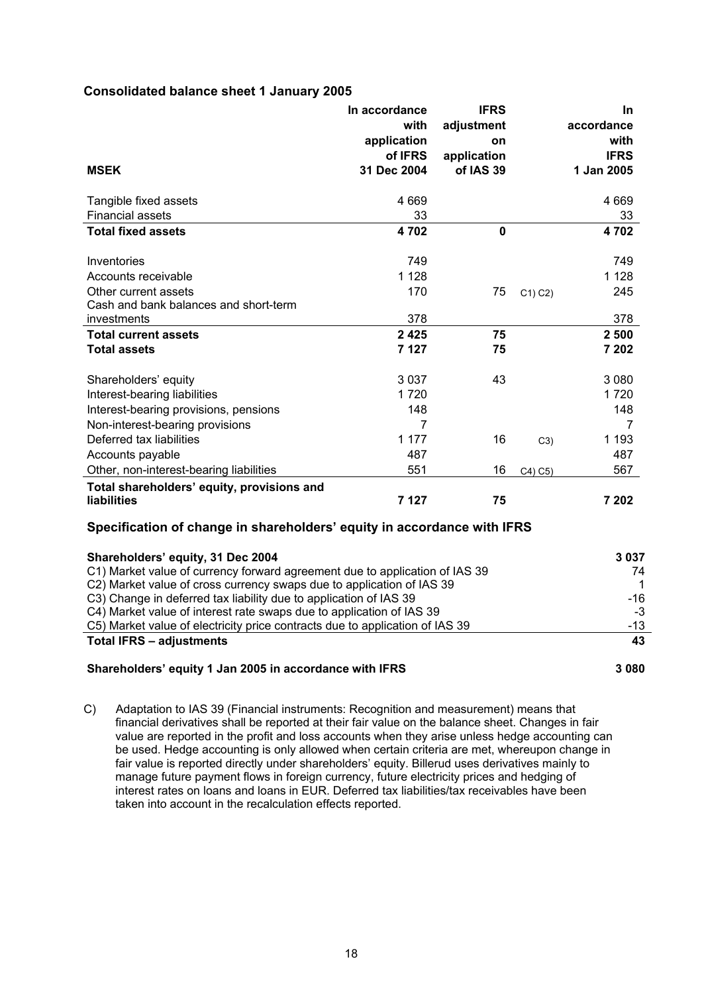#### **Consolidated balance sheet 1 January 2005**

|                                            | In accordance<br>with<br>application | <b>IFRS</b><br>adjustment<br>on |        | In.<br>accordance<br>with |
|--------------------------------------------|--------------------------------------|---------------------------------|--------|---------------------------|
|                                            | of IFRS                              | application                     |        | <b>IFRS</b>               |
| <b>MSEK</b>                                | 31 Dec 2004                          | of IAS 39                       |        | 1 Jan 2005                |
| Tangible fixed assets                      | 4 6 6 9                              |                                 |        | 4 6 6 9                   |
| <b>Financial assets</b>                    | 33                                   |                                 |        | 33                        |
| <b>Total fixed assets</b>                  | 4702                                 | $\mathbf 0$                     |        | 4702                      |
| Inventories                                | 749                                  |                                 |        | 749                       |
| Accounts receivable                        | 1 1 2 8                              |                                 |        | 1 1 2 8                   |
| Other current assets                       | 170                                  | 75                              | C1) C2 | 245                       |
| Cash and bank balances and short-term      |                                      |                                 |        |                           |
| investments                                | 378                                  |                                 |        | 378                       |
| <b>Total current assets</b>                | 2425                                 | 75                              |        | 2 500                     |
| <b>Total assets</b>                        | 7 1 2 7                              | 75                              |        | 7 202                     |
| Shareholders' equity                       | 3037                                 | 43                              |        | 3 0 8 0                   |
| Interest-bearing liabilities               | 1720                                 |                                 |        | 1720                      |
| Interest-bearing provisions, pensions      | 148                                  |                                 |        | 148                       |
| Non-interest-bearing provisions            | 7                                    |                                 |        | 7                         |
| Deferred tax liabilities                   | 1 1 7 7                              | 16                              | C3)    | 1 193                     |
| Accounts payable                           | 487                                  |                                 |        | 487                       |
| Other, non-interest-bearing liabilities    | 551                                  | 16                              | C4) C5 | 567                       |
| Total shareholders' equity, provisions and |                                      |                                 |        |                           |
| <b>liabilities</b>                         | 7 1 2 7                              | 75                              |        | 7 202                     |

#### **Specification of change in shareholders' equity in accordance with IFRS**

| Shareholders' equity, 31 Dec 2004                                            | 3037    |
|------------------------------------------------------------------------------|---------|
| C1) Market value of currency forward agreement due to application of IAS 39  | 74      |
| C2) Market value of cross currency swaps due to application of IAS 39        |         |
| C3) Change in deferred tax liability due to application of IAS 39            | -16     |
| C4) Market value of interest rate swaps due to application of IAS 39         | -3      |
| C5) Market value of electricity price contracts due to application of IAS 39 | -13     |
| <b>Total IFRS - adjustments</b>                                              | 43      |
| Shareholders' equity 1 Jan 2005 in accordance with IFRS                      | 3 0 8 0 |

C) Adaptation to IAS 39 (Financial instruments: Recognition and measurement) means that financial derivatives shall be reported at their fair value on the balance sheet. Changes in fair value are reported in the profit and loss accounts when they arise unless hedge accounting can be used. Hedge accounting is only allowed when certain criteria are met, whereupon change in fair value is reported directly under shareholders' equity. Billerud uses derivatives mainly to manage future payment flows in foreign currency, future electricity prices and hedging of interest rates on loans and loans in EUR. Deferred tax liabilities/tax receivables have been taken into account in the recalculation effects reported.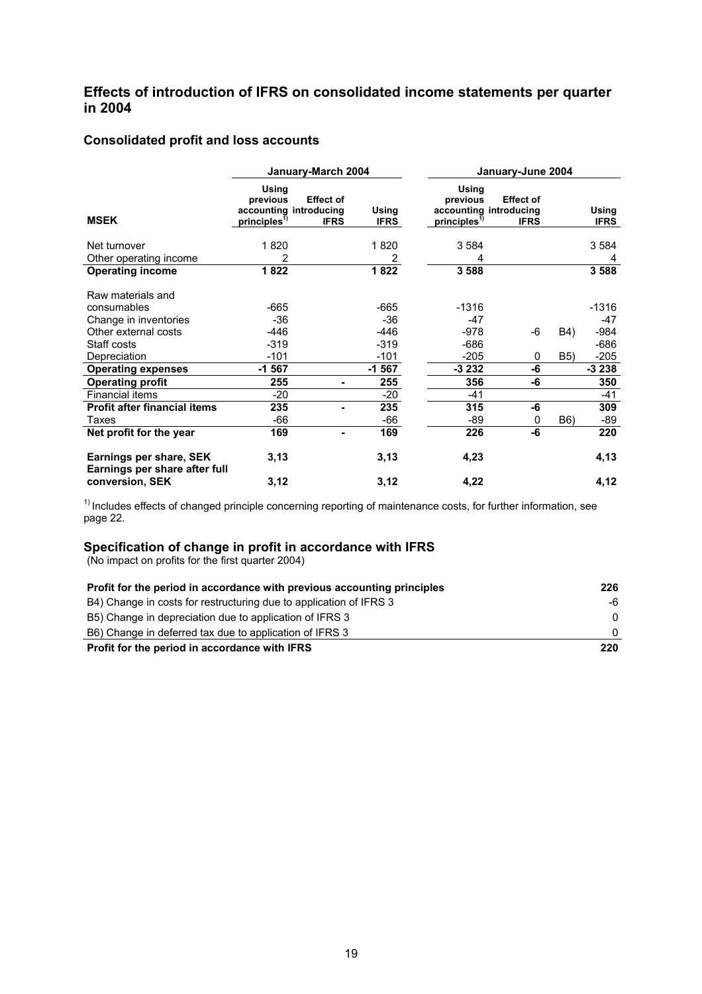### **Effects of introduction of IFRS on consolidated income statements per quarter in 2004**

### **Consolidated profit and loss accounts**

|                                                          |                                               | January-March 2004                                        | January-June 2004    |                                               |                                                           |             |                      |  |
|----------------------------------------------------------|-----------------------------------------------|-----------------------------------------------------------|----------------------|-----------------------------------------------|-----------------------------------------------------------|-------------|----------------------|--|
| <b>MSEK</b>                                              | Using<br>previous<br>principles <sup>1)</sup> | <b>Effect of</b><br>accounting introducing<br><b>IFRS</b> | Using<br><b>IFRS</b> | Using<br>previous<br>principles <sup>1)</sup> | <b>Effect of</b><br>accounting introducing<br><b>IFRS</b> |             | Using<br><b>IFRS</b> |  |
| Net turnover                                             | 1820                                          |                                                           | 1820                 | 3 5 8 4                                       |                                                           |             | 3 5 8 4              |  |
| Other operating income                                   | 2                                             |                                                           | 2                    | 4                                             |                                                           |             | 4                    |  |
| <b>Operating income</b>                                  | 1822                                          |                                                           | 1822                 | 3588                                          |                                                           |             | 3 5 8 8              |  |
| Raw materials and                                        |                                               |                                                           |                      |                                               |                                                           |             |                      |  |
| consumables                                              | $-665$                                        |                                                           | $-665$               | $-1316$                                       |                                                           |             | $-1316$              |  |
| Change in inventories                                    | $-36$                                         |                                                           | $-36$                | -47                                           |                                                           |             | -47                  |  |
| Other external costs                                     | -446                                          |                                                           | -446                 | -978                                          | -6                                                        | B4)         | -984                 |  |
| Staff costs                                              | $-319$                                        |                                                           | $-319$               | $-686$                                        |                                                           |             | $-686$               |  |
| Depreciation                                             | $-101$                                        |                                                           | $-101$               | $-205$                                        | 0                                                         | <b>B5</b> ) | $-205$               |  |
| <b>Operating expenses</b>                                | $-1567$                                       |                                                           | $-1567$              | $-3232$                                       | -6                                                        |             | $-3238$              |  |
| <b>Operating profit</b>                                  | 255                                           |                                                           | 255                  | 356                                           | -6                                                        |             | 350                  |  |
| Financial items                                          | $-20$                                         |                                                           | $-20$                | $-41$                                         |                                                           |             | $-41$                |  |
| <b>Profit after financial items</b>                      | 235                                           |                                                           | 235                  | 315                                           | -6                                                        |             | 309                  |  |
| Taxes                                                    | $-66$                                         |                                                           | -66                  | -89                                           | 0                                                         | B6)         | -89                  |  |
| Net profit for the year                                  | 169                                           |                                                           | 169                  | 226                                           | -6                                                        |             | 220                  |  |
| Earnings per share, SEK<br>Earnings per share after full | 3,13                                          |                                                           | 3,13                 | 4,23                                          |                                                           |             | 4,13                 |  |
| conversion, SEK                                          | 3,12                                          |                                                           | 3,12                 | 4,22                                          |                                                           |             | 4,12                 |  |

 $1)$  Includes effects of changed principle concerning reporting of maintenance costs, for further information, see page 22.

#### **Specification of change in profit in accordance with IFRS**

(No impact on profits for the first quarter 2004)

| Profit for the period in accordance with previous accounting principles | 226      |
|-------------------------------------------------------------------------|----------|
| B4) Change in costs for restructuring due to application of IFRS 3      | -6       |
| B5) Change in depreciation due to application of IFRS 3                 | $\Omega$ |
| B6) Change in deferred tax due to application of IFRS 3                 | $\Omega$ |
| Profit for the period in accordance with IFRS                           | 220      |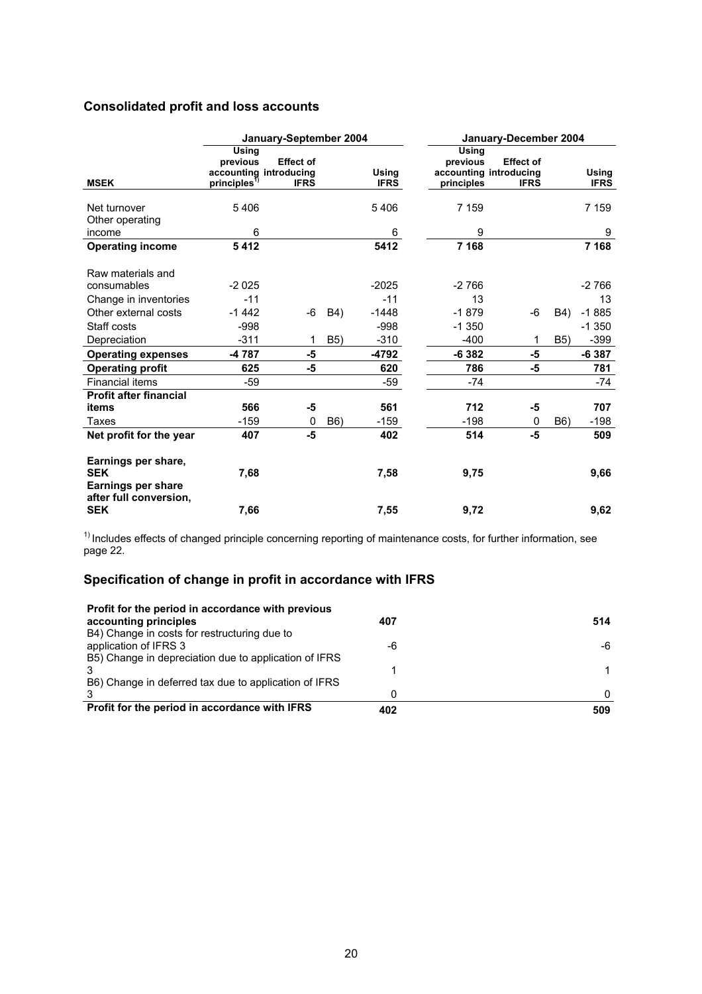# **Consolidated profit and loss accounts**

|                                                                                          |                                                                       | January-September 2004          |                  |                             | January-December 2004           |                                                           |                  |                             |
|------------------------------------------------------------------------------------------|-----------------------------------------------------------------------|---------------------------------|------------------|-----------------------------|---------------------------------|-----------------------------------------------------------|------------------|-----------------------------|
| <b>MSEK</b>                                                                              | Using<br>previous<br>accounting introducing<br>principle <sup>1</sup> | <b>Effect of</b><br><b>IFRS</b> |                  | <b>Using</b><br><b>IFRS</b> | Using<br>previous<br>principles | <b>Effect of</b><br>accounting introducing<br><b>IFRS</b> |                  | <b>Using</b><br><b>IFRS</b> |
|                                                                                          |                                                                       |                                 |                  |                             |                                 |                                                           |                  |                             |
| Net turnover                                                                             | 5406                                                                  |                                 |                  | 5406                        | 7 159                           |                                                           |                  | 7 1 5 9                     |
| Other operating                                                                          |                                                                       |                                 |                  |                             |                                 |                                                           |                  |                             |
| income                                                                                   | 6                                                                     |                                 |                  | 6                           | 9                               |                                                           |                  | 9                           |
| <b>Operating income</b>                                                                  | 5412                                                                  |                                 |                  | 5412                        | 7 1 6 8                         |                                                           |                  | 7 1 6 8                     |
| Raw materials and                                                                        |                                                                       |                                 |                  |                             |                                 |                                                           |                  |                             |
| consumables                                                                              | $-2025$                                                               |                                 |                  | $-2025$                     | $-2766$                         |                                                           |                  | $-2766$                     |
| Change in inventories                                                                    | $-11$                                                                 |                                 |                  | $-11$                       | 13                              |                                                           |                  | 13                          |
| Other external costs                                                                     | $-1442$                                                               | -6                              | B4)              | $-1448$                     | $-1879$                         | $-6$                                                      | B4)              | $-1885$                     |
| Staff costs                                                                              | $-998$                                                                |                                 |                  | $-998$                      | $-1350$                         |                                                           |                  | $-1350$                     |
| Depreciation                                                                             | $-311$                                                                | 1                               | <b>B5)</b>       | $-310$                      | $-400$                          | 1                                                         | <b>B5)</b>       | $-399$                      |
| <b>Operating expenses</b>                                                                | -4787                                                                 | -5                              |                  | -4792                       | $-6382$                         | -5                                                        |                  | $-6387$                     |
| <b>Operating profit</b>                                                                  | 625                                                                   | -5                              |                  | 620                         | 786                             | -5                                                        |                  | 781                         |
| <b>Financial items</b>                                                                   | $-59$                                                                 |                                 |                  | $-59$                       | -74                             |                                                           |                  | $-74$                       |
| <b>Profit after financial</b>                                                            |                                                                       |                                 |                  |                             |                                 |                                                           |                  |                             |
| items                                                                                    | 566                                                                   | -5                              |                  | 561                         | 712                             | -5                                                        |                  | 707                         |
| Taxes                                                                                    | $-159$                                                                | 0                               | B <sub>6</sub> ) | $-159$                      | $-198$                          | 0                                                         | B <sub>6</sub> ) | $-198$                      |
| Net profit for the year                                                                  | 407                                                                   | -5                              |                  | 402                         | 514                             | $-5$                                                      |                  | 509                         |
| Earnings per share,<br><b>SEK</b><br><b>Earnings per share</b><br>after full conversion, | 7,68                                                                  |                                 |                  | 7,58                        | 9,75                            |                                                           |                  | 9,66                        |
| <b>SEK</b>                                                                               | 7,66                                                                  |                                 |                  | 7,55                        | 9,72                            |                                                           |                  | 9,62                        |

 $1)$  Includes effects of changed principle concerning reporting of maintenance costs, for further information, see page 22.

# **Specification of change in profit in accordance with IFRS**

| Profit for the period in accordance with previous<br>accounting principles | 407 | 514          |
|----------------------------------------------------------------------------|-----|--------------|
| B4) Change in costs for restructuring due to<br>application of IFRS 3      | -6  | -6           |
| B5) Change in depreciation due to application of IFRS                      |     |              |
| B6) Change in deferred tax due to application of IFRS                      |     |              |
|                                                                            |     | <sup>n</sup> |
| Profit for the period in accordance with IFRS                              | 402 | 509          |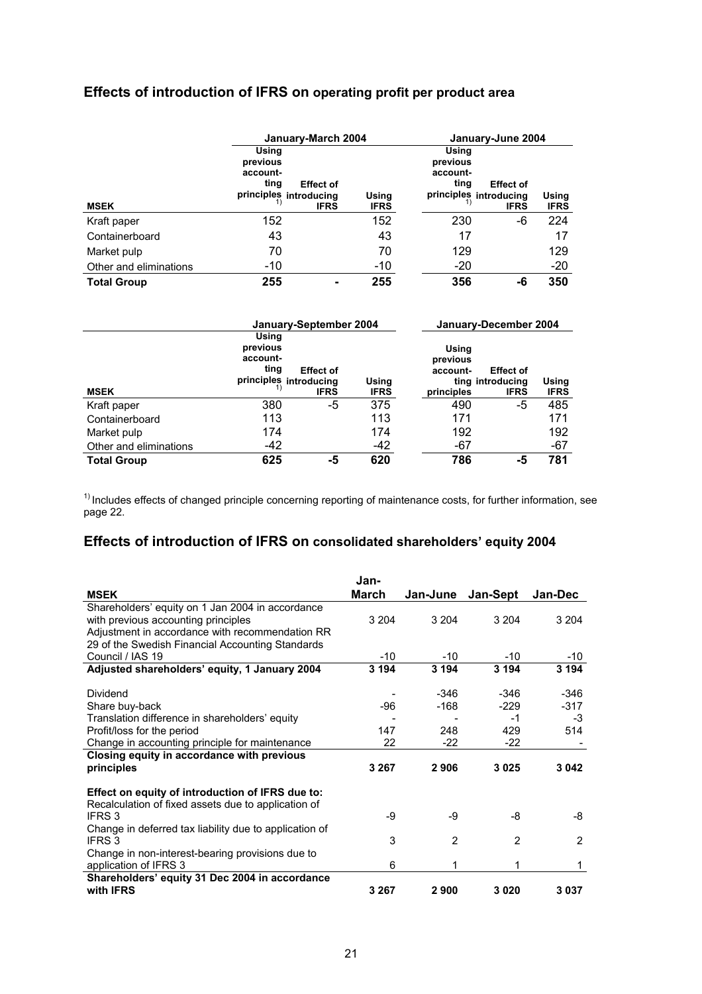# **Effects of introduction of IFRS on operating profit per product area**

|                        |                                                                                                    | January-March 2004   |                                       |                                                           |                      |
|------------------------|----------------------------------------------------------------------------------------------------|----------------------|---------------------------------------|-----------------------------------------------------------|----------------------|
| <b>MSEK</b>            | Using<br>previous<br>account-<br>ting<br><b>Effect of</b><br>principles introducing<br><b>IFRS</b> | Using<br><b>IFRS</b> | Using<br>previous<br>account-<br>ting | <b>Effect of</b><br>principles introducing<br><b>IFRS</b> | Using<br><b>IFRS</b> |
| Kraft paper            | 152                                                                                                | 152                  | 230                                   | -6                                                        | 224                  |
| Containerboard         | 43                                                                                                 | 43                   | 17                                    |                                                           | 17                   |
| Market pulp            | 70                                                                                                 | 70                   | 129                                   |                                                           | 129                  |
| Other and eliminations | -10                                                                                                | $-10$                | -20                                   |                                                           | $-20$                |
| <b>Total Group</b>     | 255                                                                                                | 255                  | 356                                   | -6                                                        | 350                  |

|                        |                                       | January-September 2004                                    |                      | January-December 2004                       |                                                     |                      |  |
|------------------------|---------------------------------------|-----------------------------------------------------------|----------------------|---------------------------------------------|-----------------------------------------------------|----------------------|--|
| <b>MSEK</b>            | Using<br>previous<br>account-<br>ting | <b>Effect of</b><br>principles introducing<br><b>IFRS</b> | Using<br><b>IFRS</b> | Using<br>previous<br>account-<br>principles | <b>Effect of</b><br>ting introducing<br><b>IFRS</b> | Using<br><b>IFRS</b> |  |
| Kraft paper            | 380                                   | -5                                                        | 375                  | 490                                         | -5                                                  | 485                  |  |
| Containerboard         | 113                                   |                                                           | 113                  | 171                                         |                                                     | 171                  |  |
| Market pulp            | 174                                   |                                                           | 174                  | 192                                         |                                                     | 192                  |  |
| Other and eliminations | $-42$                                 |                                                           | -42                  | -67                                         |                                                     | -67                  |  |
| <b>Total Group</b>     | 625                                   | -5                                                        | 620                  | 786                                         | -5                                                  | 781                  |  |

 $1)$  Includes effects of changed principle concerning reporting of maintenance costs, for further information, see page 22.

# **Effects of introduction of IFRS on consolidated shareholders' equity 2004**

|                                                                                                                                                                                                | Jan-         |                         |                               |                             |
|------------------------------------------------------------------------------------------------------------------------------------------------------------------------------------------------|--------------|-------------------------|-------------------------------|-----------------------------|
| <b>MSEK</b>                                                                                                                                                                                    | <b>March</b> | Jan-June                | Jan-Sept                      | Jan-Dec                     |
| Shareholders' equity on 1 Jan 2004 in accordance<br>with previous accounting principles<br>Adjustment in accordance with recommendation RR<br>29 of the Swedish Financial Accounting Standards | 3 2 0 4      | 3 2 0 4                 | 3 2 0 4                       | 3 2 0 4                     |
| Council / IAS 19                                                                                                                                                                               | $-10$        | $-10$                   | $-10$                         | -10                         |
| Adjusted shareholders' equity, 1 January 2004                                                                                                                                                  | 3 1 9 4      | 3 1 9 4                 | 3 1 9 4                       | 3 1 9 4                     |
| Dividend<br>Share buy-back<br>Translation difference in shareholders' equity<br>Profit/loss for the period                                                                                     | -96<br>147   | $-346$<br>$-168$<br>248 | -346<br>$-229$<br>$-1$<br>429 | -346<br>$-317$<br>-3<br>514 |
| Change in accounting principle for maintenance                                                                                                                                                 | 22           | $-22$                   | $-22$                         |                             |
| Closing equity in accordance with previous<br>principles                                                                                                                                       | 3 2 6 7      | 2906                    | 3025                          | 3 042                       |
| Effect on equity of introduction of IFRS due to:<br>Recalculation of fixed assets due to application of<br>IFRS 3<br>Change in deferred tax liability due to application of                    | -9           | -9                      | -8                            | -8                          |
| IFRS 3                                                                                                                                                                                         | 3            | 2                       | $\overline{2}$                | 2                           |
| Change in non-interest-bearing provisions due to<br>application of IFRS 3                                                                                                                      | 6            | 1                       | 1                             | 1                           |
| Shareholders' equity 31 Dec 2004 in accordance<br>with <b>IFRS</b>                                                                                                                             | 3 2 6 7      | 2900                    | 3020                          | 3037                        |